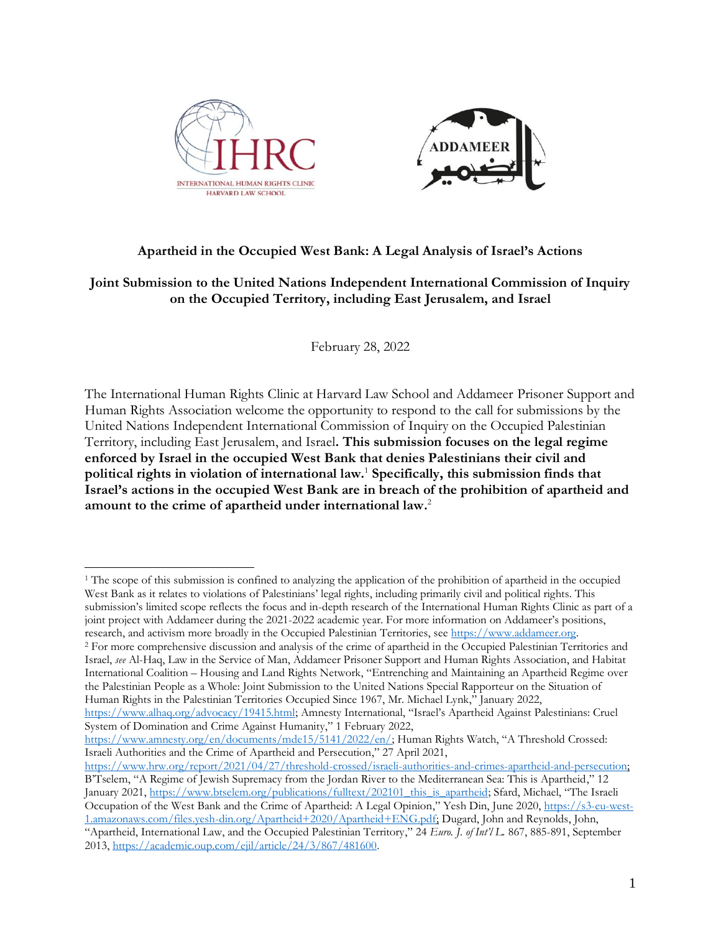



# **Apartheid in the Occupied West Bank: A Legal Analysis of Israel's Actions**

## **Joint Submission to the United Nations Independent International Commission of Inquiry on the Occupied Territory, including East Jerusalem, and Israel**

February 28, 2022

The International Human Rights Clinic at Harvard Law School and Addameer Prisoner Support and Human Rights Association welcome the opportunity to respond to the call for submissions by the United Nations Independent International Commission of Inquiry on the Occupied Palestinian Territory, including East Jerusalem, and Israel**. This submission focuses on the legal regime enforced by Israel in the occupied West Bank that denies Palestinians their civil and political rights in violation of international law.**<sup>1</sup> **Specifically, this submission finds that Israel's actions in the occupied West Bank are in breach of the prohibition of apartheid and amount to the crime of apartheid under international law.** 2

<sup>1</sup> The scope of this submission is confined to analyzing the application of the prohibition of apartheid in the occupied West Bank as it relates to violations of Palestinians' legal rights, including primarily civil and political rights. This submission's limited scope reflects the focus and in-depth research of the International Human Rights Clinic as part of a joint project with Addameer during the 2021-2022 academic year. For more information on Addameer's positions, research, and activism more broadly in the Occupied Palestinian Territories, se[e https://www.addameer.org.](https://www.addameer.org/)

<sup>2</sup> For more comprehensive discussion and analysis of the crime of apartheid in the Occupied Palestinian Territories and Israel, *see* Al-Haq, Law in the Service of Man, Addameer Prisoner Support and Human Rights Association, and Habitat International Coalition – Housing and Land Rights Network, "Entrenching and Maintaining an Apartheid Regime over the Palestinian People as a Whole: Joint Submission to the United Nations Special Rapporteur on the Situation of Human Rights in the Palestinian Territories Occupied Since 1967, Mr. Michael Lynk," January 2022,

[https://www.alhaq.org/advocacy/19415.html;](https://www.alhaq.org/advocacy/19415.html) Amnesty International, "Israel's Apartheid Against Palestinians: Cruel System of Domination and Crime Against Humanity," 1 February 2022,

[https://www.amnesty.org/en/documents/mde15/5141/2022/en/;](https://www.amnesty.org/en/documents/mde15/5141/2022/en/) Human Rights Watch, "A Threshold Crossed: Israeli Authorities and the Crime of Apartheid and Persecution," 27 April 2021,

[https://www.hrw.org/report/2021/04/27/threshold-crossed/israeli-authorities-and-crimes-apartheid-and-persecution;](https://www.hrw.org/report/2021/04/27/threshold-crossed/israeli-authorities-and-crimes-apartheid-and-persecution) B'Tselem, "A Regime of Jewish Supremacy from the Jordan River to the Mediterranean Sea: This is Apartheid," 12 January 2021, [https://www.btselem.org/publications/fulltext/202101\\_this\\_is\\_apartheid;](https://www.btselem.org/publications/fulltext/202101_this_is_apartheid) Sfard, Michael, "The Israeli Occupation of the West Bank and the Crime of Apartheid: A Legal Opinion," Yesh Din, June 2020, [https://s3-eu-west-](https://s3-eu-west-1.amazonaws.com/files.yesh-din.org/Apartheid+2020/Apartheid+ENG.pdf)[1.amazonaws.com/files.yesh-din.org/Apartheid+2020/Apartheid+ENG.pdf;](https://s3-eu-west-1.amazonaws.com/files.yesh-din.org/Apartheid+2020/Apartheid+ENG.pdf) Dugard, John and Reynolds, John, "Apartheid, International Law, and the Occupied Palestinian Territory," 24 *Euro. J. of Int'l L.* 867, 885-891, September 2013[, https://academic.oup.com/ejil/article/24/3/867/481600.](https://academic.oup.com/ejil/article/24/3/867/481600)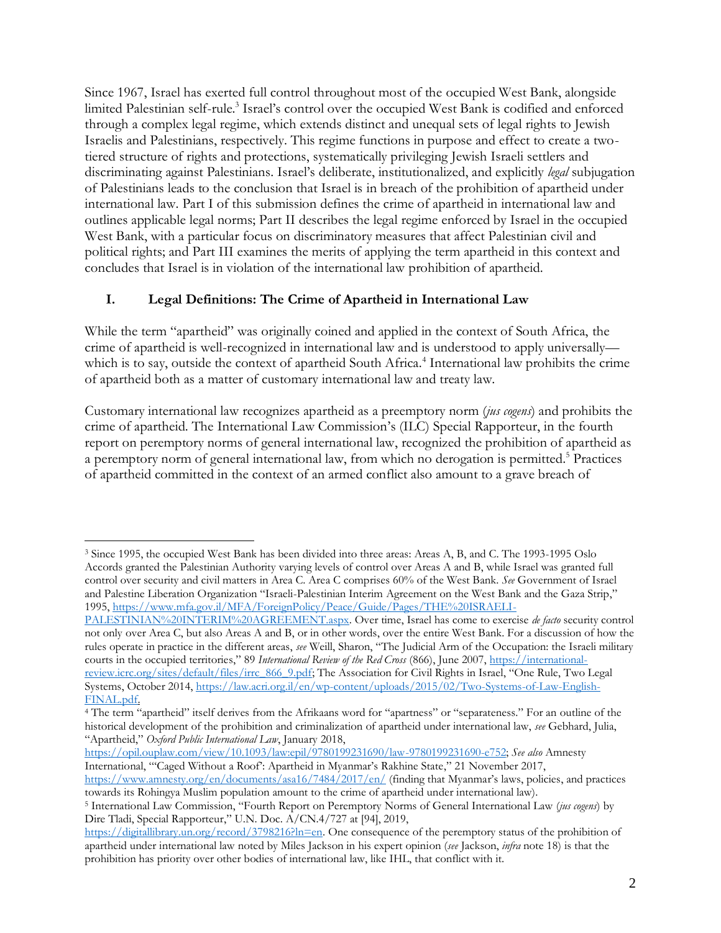Since 1967, Israel has exerted full control throughout most of the occupied West Bank, alongside limited Palestinian self-rule.<sup>3</sup> Israel's control over the occupied West Bank is codified and enforced through a complex legal regime, which extends distinct and unequal sets of legal rights to Jewish Israelis and Palestinians, respectively. This regime functions in purpose and effect to create a twotiered structure of rights and protections, systematically privileging Jewish Israeli settlers and discriminating against Palestinians. Israel's deliberate, institutionalized, and explicitly *legal* subjugation of Palestinians leads to the conclusion that Israel is in breach of the prohibition of apartheid under international law. Part I of this submission defines the crime of apartheid in international law and outlines applicable legal norms; Part II describes the legal regime enforced by Israel in the occupied West Bank, with a particular focus on discriminatory measures that affect Palestinian civil and political rights; and Part III examines the merits of applying the term apartheid in this context and concludes that Israel is in violation of the international law prohibition of apartheid.

# **I. Legal Definitions: The Crime of Apartheid in International Law**

While the term "apartheid" was originally coined and applied in the context of South Africa, the crime of apartheid is well-recognized in international law and is understood to apply universally which is to say, outside the context of apartheid South Africa.<sup>4</sup> International law prohibits the crime of apartheid both as a matter of customary international law and treaty law.

Customary international law recognizes apartheid as a preemptory norm (*jus cogens*) and prohibits the crime of apartheid. The International Law Commission's (ILC) Special Rapporteur, in the fourth report on peremptory norms of general international law, recognized the prohibition of apartheid as a peremptory norm of general international law, from which no derogation is permitted.<sup>5</sup> Practices of apartheid committed in the context of an armed conflict also amount to a grave breach of

[https://opil.ouplaw.com/view/10.1093/law:epil/9780199231690/law-9780199231690-e752;](https://opil.ouplaw.com/view/10.1093/law:epil/9780199231690/law-9780199231690-e752) *See also* Amnesty International, "'Caged Without a Roof': Apartheid in Myanmar's Rakhine State," 21 November 2017,

<sup>3</sup> Since 1995, the occupied West Bank has been divided into three areas: Areas A, B, and C. The 1993-1995 Oslo Accords granted the Palestinian Authority varying levels of control over Areas A and B, while Israel was granted full control over security and civil matters in Area C. Area C comprises 60% of the West Bank. *See* Government of Israel and Palestine Liberation Organization "Israeli-Palestinian Interim Agreement on the West Bank and the Gaza Strip," 1995[, https://www.mfa.gov.il/MFA/ForeignPolicy/Peace/Guide/Pages/THE%20ISRAELI-](https://www.mfa.gov.il/MFA/ForeignPolicy/Peace/Guide/Pages/THE%20ISRAELI-PALESTINIAN%20INTERIM%20AGREEMENT.aspx)

[PALESTINIAN%20INTERIM%20AGREEMENT.aspx.](https://www.mfa.gov.il/MFA/ForeignPolicy/Peace/Guide/Pages/THE%20ISRAELI-PALESTINIAN%20INTERIM%20AGREEMENT.aspx) Over time, Israel has come to exercise *de facto* security control not only over Area C, but also Areas A and B, or in other words, over the entire West Bank. For a discussion of how the rules operate in practice in the different areas, *see* Weill, Sharon, "The Judicial Arm of the Occupation: the Israeli military courts in the occupied territories," 89 *International Review of the Red Cross* (866), June 2007[, https://international](https://international-review.icrc.org/sites/default/files/irrc_866_9.pdf)[review.icrc.org/sites/default/files/irrc\\_866\\_9.pdf;](https://international-review.icrc.org/sites/default/files/irrc_866_9.pdf) The Association for Civil Rights in Israel, "One Rule, Two Legal Systems, October 2014[, https://law.acri.org.il/en/wp-content/uploads/2015/02/Two-Systems-of-Law-English-](https://law.acri.org.il/en/wp-content/uploads/2015/02/Two-Systems-of-Law-English-FINAL.pdf)[FINAL.pdf.](https://law.acri.org.il/en/wp-content/uploads/2015/02/Two-Systems-of-Law-English-FINAL.pdf)

<sup>4</sup> The term "apartheid" itself derives from the Afrikaans word for "apartness" or "separateness." For an outline of the historical development of the prohibition and criminalization of apartheid under international law, *see* Gebhard, Julia, "Apartheid," *Oxford Public International Law*, January 2018,

<https://www.amnesty.org/en/documents/asa16/7484/2017/en/> (finding that Myanmar's laws, policies, and practices towards its Rohingya Muslim population amount to the crime of apartheid under international law).

<sup>5</sup> International Law Commission, "Fourth Report on Peremptory Norms of General International Law (*jus cogens*) by Dire Tladi, Special Rapporteur," U.N. Doc. A/CN.4/727 at [94], 2019,

[https://digitallibrary.un.org/record/3798216?ln=en.](https://digitallibrary.un.org/record/3798216?ln=en) One consequence of the peremptory status of the prohibition of apartheid under international law noted by Miles Jackson in his expert opinion (*see* Jackson, *infra* note 18) is that the prohibition has priority over other bodies of international law, like IHL, that conflict with it.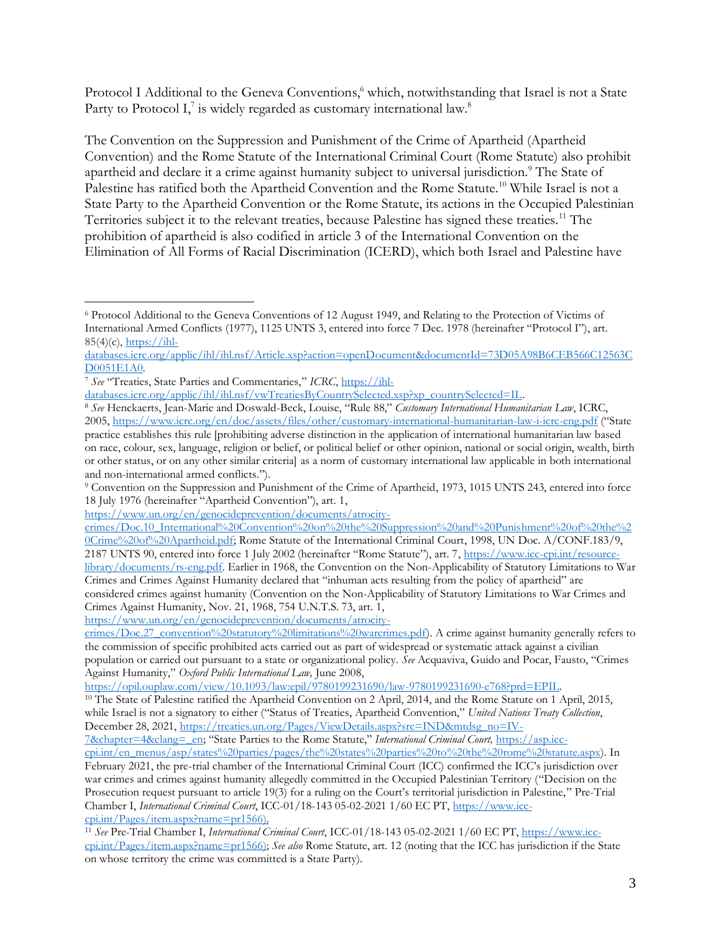Protocol I Additional to the Geneva Conventions,<sup>6</sup> which, notwithstanding that Israel is not a State Party to Protocol I,<sup>7</sup> is widely regarded as customary international law.<sup>8</sup>

The Convention on the Suppression and Punishment of the Crime of Apartheid (Apartheid Convention) and the Rome Statute of the International Criminal Court (Rome Statute) also prohibit apartheid and declare it a crime against humanity subject to universal jurisdiction.<sup>9</sup> The State of Palestine has ratified both the Apartheid Convention and the Rome Statute.<sup>10</sup> While Israel is not a State Party to the Apartheid Convention or the Rome Statute, its actions in the Occupied Palestinian Territories subject it to the relevant treaties, because Palestine has signed these treaties.<sup>11</sup> The prohibition of apartheid is also codified in article 3 of the International Convention on the Elimination of All Forms of Racial Discrimination (ICERD), which both Israel and Palestine have

[https://www.un.org/en/genocideprevention/documents/atrocity-](https://www.un.org/en/genocideprevention/documents/atrocity-crimes/Doc.27_convention%20statutory%20limitations%20warcrimes.pdf)

<sup>6</sup> Protocol Additional to the Geneva Conventions of 12 August 1949, and Relating to the Protection of Victims of International Armed Conflicts (1977), 1125 UNTS 3, entered into force 7 Dec. 1978 (hereinafter "Protocol I"), art.  $85(4)(c)$ [, https://ihl-](https://ihl-databases.icrc.org/applic/ihl/ihl.nsf/Article.xsp?action=openDocument&documentId=73D05A98B6CEB566C12563CD0051E1A0)

[databases.icrc.org/applic/ihl/ihl.nsf/Article.xsp?action=openDocument&documentId=73D05A98B6CEB566C12563C](https://ihl-databases.icrc.org/applic/ihl/ihl.nsf/Article.xsp?action=openDocument&documentId=73D05A98B6CEB566C12563CD0051E1A0) [D0051E1A0.](https://ihl-databases.icrc.org/applic/ihl/ihl.nsf/Article.xsp?action=openDocument&documentId=73D05A98B6CEB566C12563CD0051E1A0)

<sup>7</sup> *See* "Treaties, State Parties and Commentaries," *ICRC*, [https://ihl-](https://ihl-databases.icrc.org/applic/ihl/ihl.nsf/vwTreatiesByCountrySelected.xsp?xp_countrySelected=IL)

[databases.icrc.org/applic/ihl/ihl.nsf/vwTreatiesByCountrySelected.xsp?xp\\_countrySelected=IL.](https://ihl-databases.icrc.org/applic/ihl/ihl.nsf/vwTreatiesByCountrySelected.xsp?xp_countrySelected=IL) 

<sup>8</sup> *See* Henckaerts, Jean-Marie and Doswald-Beck, Louise, "Rule 88," *Customary International Humanitarian Law*, ICRC, 2005, <https://www.icrc.org/en/doc/assets/files/other/customary-international-humanitarian-law-i-icrc-eng.pdf> ("State practice establishes this rule [prohibiting adverse distinction in the application of international humanitarian law based on race, colour, sex, language, religion or belief, or political belief or other opinion, national or social origin, wealth, birth or other status, or on any other similar criteria] as a norm of customary international law applicable in both international and non-international armed conflicts.").

<sup>9</sup> Convention on the Suppression and Punishment of the Crime of Apartheid, 1973, 1015 UNTS 243, entered into force 18 July 1976 (hereinafter "Apartheid Convention"), art. 1,

[https://www.un.org/en/genocideprevention/documents/atrocity-](https://www.un.org/en/genocideprevention/documents/atrocity-crimes/Doc.10_International%20Convention%20on%20the%20Suppression%20and%20Punishment%20of%20the%20Crime%20of%20Apartheid.pdf)

[crimes/Doc.10\\_International%20Convention%20on%20the%20Suppression%20and%20Punishment%20of%20the%2](https://www.un.org/en/genocideprevention/documents/atrocity-crimes/Doc.10_International%20Convention%20on%20the%20Suppression%20and%20Punishment%20of%20the%20Crime%20of%20Apartheid.pdf) [0Crime%20of%20Apartheid.pdf;](https://www.un.org/en/genocideprevention/documents/atrocity-crimes/Doc.10_International%20Convention%20on%20the%20Suppression%20and%20Punishment%20of%20the%20Crime%20of%20Apartheid.pdf) Rome Statute of the International Criminal Court, 1998, UN Doc. A/CONF.183/9, 2187 UNTS 90, entered into force 1 July 2002 (hereinafter "Rome Statute"), art. 7[, https://www.icc-cpi.int/resource](https://www.icc-cpi.int/resource-library/documents/rs-eng.pdf)[library/documents/rs-eng.pdf.](https://www.icc-cpi.int/resource-library/documents/rs-eng.pdf) Earlier in 1968, the Convention on the Non-Applicability of Statutory Limitations to War Crimes and Crimes Against Humanity declared that "inhuman acts resulting from the policy of apartheid" are considered crimes against humanity (Convention on the Non-Applicability of Statutory Limitations to War Crimes and Crimes Against Humanity, Nov. 21, 1968, 754 U.N.T.S. 73, art. 1,

[crimes/Doc.27\\_convention%20statutory%20limitations%20warcrimes.pdf\)](https://www.un.org/en/genocideprevention/documents/atrocity-crimes/Doc.27_convention%20statutory%20limitations%20warcrimes.pdf). A crime against humanity generally refers to the commission of specific prohibited acts carried out as part of widespread or systematic attack against a civilian population or carried out pursuant to a state or organizational policy. *See* Acquaviva, Guido and Pocar, Fausto, "Crimes Against Humanity," *Oxford Public International Law,* June 2008,

[https://opil.ouplaw.com/view/10.1093/law:epil/9780199231690/law-9780199231690-e768?prd=EPIL.](https://opil.ouplaw.com/view/10.1093/law:epil/9780199231690/law-9780199231690-e768?prd=EPIL)

<sup>&</sup>lt;sup>10</sup> The State of Palestine ratified the Apartheid Convention on 2 April, 2014, and the Rome Statute on 1 April, 2015, while Israel is not a signatory to either ("Status of Treaties, Apartheid Convention," *United Nations Treaty Collection*, December 28, 2021[, https://treaties.un.org/Pages/ViewDetails.aspx?src=IND&mtdsg\\_no=IV-](https://treaties.un.org/Pages/ViewDetails.aspx?src=IND&mtdsg_no=IV-7&chapter=4&clang=_en)

[<sup>7&</sup>amp;chapter=4&clang=\\_en;](https://treaties.un.org/Pages/ViewDetails.aspx?src=IND&mtdsg_no=IV-7&chapter=4&clang=_en) "State Parties to the Rome Statute," *International Criminal Court,* [https://asp.icc-](https://asp.icc-cpi.int/en_menus/asp/states%20parties/pages/the%20states%20parties%20to%20the%20rome%20statute.aspx)

[cpi.int/en\\_menus/asp/states%20parties/pages/the%20states%20parties%20to%20the%20rome%20statute.aspx\)](https://asp.icc-cpi.int/en_menus/asp/states%20parties/pages/the%20states%20parties%20to%20the%20rome%20statute.aspx). In February 2021, the pre-trial chamber of the International Criminal Court (ICC) confirmed the ICC's jurisdiction over war crimes and crimes against humanity allegedly committed in the Occupied Palestinian Territory ("Decision on the Prosecution request pursuant to article 19(3) for a ruling on the Court's territorial jurisdiction in Palestine," Pre-Trial Chamber I, *International Criminal Court*, ICC-01/18-143 05-02-2021 1/60 EC PT, [https://www.icc](https://www.icc-cpi.int/Pages/item.aspx?name=pr1566)[cpi.int/Pages/item.aspx?name=pr1566\)](https://www.icc-cpi.int/Pages/item.aspx?name=pr1566).

<sup>11</sup> *See* Pre-Trial Chamber I, *International Criminal Court*, ICC-01/18-143 05-02-2021 1/60 EC PT, [https://www.icc](https://www.icc-cpi.int/Pages/item.aspx?name=pr1566)[cpi.int/Pages/item.aspx?name=pr1566\)](https://www.icc-cpi.int/Pages/item.aspx?name=pr1566); *See also* Rome Statute, art. 12 (noting that the ICC has jurisdiction if the State on whose territory the crime was committed is a State Party).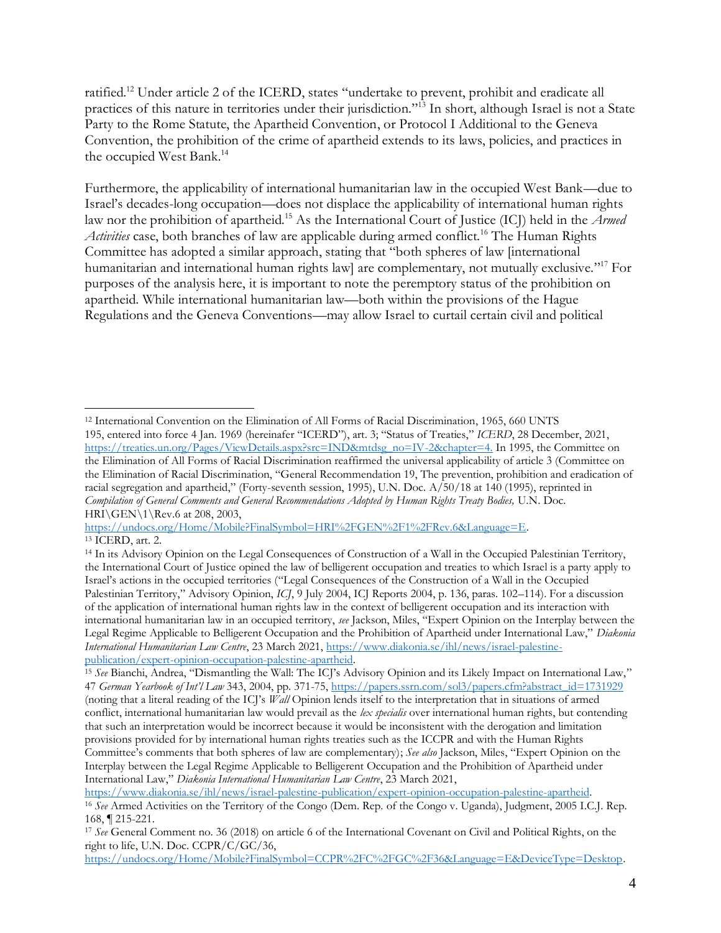ratified.<sup>12</sup> Under article 2 of the ICERD, states "undertake to prevent, prohibit and eradicate all practices of this nature in territories under their jurisdiction."<sup>13</sup> In short, although Israel is not a State Party to the Rome Statute, the Apartheid Convention, or Protocol I Additional to the Geneva Convention, the prohibition of the crime of apartheid extends to its laws, policies, and practices in the occupied West Bank. 14

Furthermore, the applicability of international humanitarian law in the occupied West Bank—due to Israel's decades-long occupation—does not displace the applicability of international human rights law nor the prohibition of apartheid.<sup>15</sup> As the International Court of Justice (ICJ) held in the *Armed*  Activities case, both branches of law are applicable during armed conflict.<sup>16</sup> The Human Rights Committee has adopted a similar approach, stating that "both spheres of law [international humanitarian and international human rights law] are complementary, not mutually exclusive."<sup>17</sup> For purposes of the analysis here, it is important to note the peremptory status of the prohibition on apartheid. While international humanitarian law—both within the provisions of the Hague Regulations and the Geneva Conventions—may allow Israel to curtail certain civil and political

[https://undocs.org/Home/Mobile?FinalSymbol=CCPR%2FC%2FGC%2F36&Language=E&DeviceType=Desktop.](https://undocs.org/Home/Mobile?FinalSymbol=CCPR%2FC%2FGC%2F36&Language=E&DeviceType=Desktop)

<sup>12</sup> International Convention on the Elimination of All Forms of Racial Discrimination, 1965, 660 UNTS 195, entered into force 4 Jan. 1969 (hereinafer "ICERD"), art. 3; "Status of Treaties," *ICERD*, 28 December, 2021, [https://treaties.un.org/Pages/ViewDetails.aspx?src=IND&mtdsg\\_no=IV-2&chapter=4.](https://treaties.un.org/Pages/ViewDetails.aspx?src=IND&mtdsg_no=IV-2&chapter=4) In 1995, the Committee on the Elimination of All Forms of Racial Discrimination reaffirmed the universal applicability of article 3 (Committee on the Elimination of Racial Discrimination, "General Recommendation 19, The prevention, prohibition and eradication of racial segregation and apartheid," (Forty-seventh session, 1995), U.N. Doc. A/50/18 at 140 (1995), reprinted in *Compilation of General Comments and General Recommendations Adopted by Human Rights Treaty Bodies,* U.N. Doc. HRI\GEN\1\Rev.6 at 208, 2003,

[https://undocs.org/Home/Mobile?FinalSymbol=HRI%2FGEN%2F1%2FRev.6&Language=E.](https://undocs.org/Home/Mobile?FinalSymbol=HRI%2FGEN%2F1%2FRev.6&Language=E) <sup>13</sup> ICERD, art. 2.

<sup>14</sup> In its Advisory Opinion on the Legal Consequences of Construction of a Wall in the Occupied Palestinian Territory, the International Court of Justice opined the law of belligerent occupation and treaties to which Israel is a party apply to Israel's actions in the occupied territories ("Legal Consequences of the Construction of a Wall in the Occupied Palestinian Territory," Advisory Opinion, *ICJ*, 9 July 2004, ICJ Reports 2004, p. 136, paras. 102–114). For a discussion of the application of international human rights law in the context of belligerent occupation and its interaction with international humanitarian law in an occupied territory, *see* Jackson, Miles, "Expert Opinion on the Interplay between the Legal Regime Applicable to Belligerent Occupation and the Prohibition of Apartheid under International Law," *Diakonia International Humanitarian Law Centre*, 23 March 2021, [https://www.diakonia.se/ihl/news/israel-palestine](https://www.diakonia.se/ihl/news/israel-palestine-publication/expert-opinion-occupation-palestine-apartheid)[publication/expert-opinion-occupation-palestine-apartheid.](https://www.diakonia.se/ihl/news/israel-palestine-publication/expert-opinion-occupation-palestine-apartheid)

<sup>15</sup> *See* Bianchi, Andrea, "Dismantling the Wall: The ICJ's Advisory Opinion and its Likely Impact on International Law," 47 *German Yearbook of Int'l Law* 343, 2004, pp. 371-75, [https://papers.ssrn.com/sol3/papers.cfm?abstract\\_id=1731929](https://papers.ssrn.com/sol3/papers.cfm?abstract_id=1731929) (noting that a literal reading of the ICJ's *Wall* Opinion lends itself to the interpretation that in situations of armed conflict, international humanitarian law would prevail as the *lex specialis* over international human rights, but contending that such an interpretation would be incorrect because it would be inconsistent with the derogation and limitation provisions provided for by international human rights treaties such as the ICCPR and with the Human Rights Committee's comments that both spheres of law are complementary); *See also* Jackson, Miles, "Expert Opinion on the Interplay between the Legal Regime Applicable to Belligerent Occupation and the Prohibition of Apartheid under International Law," *Diakonia International Humanitarian Law Centre*, 23 March 2021,

[https://www.diakonia.se/ihl/news/israel-palestine-publication/expert-opinion-occupation-palestine-apartheid.](https://www.diakonia.se/ihl/news/israel-palestine-publication/expert-opinion-occupation-palestine-apartheid) 

<sup>16</sup> *See* Armed Activities on the Territory of the Congo (Dem. Rep. of the Congo v. Uganda), Judgment, 2005 I.C.J. Rep. 168, ¶ 215-221.

<sup>17</sup> *See* General Comment no. 36 (2018) on article 6 of the International Covenant on Civil and Political Rights, on the right to life, U.N. Doc. CCPR/C/GC/36,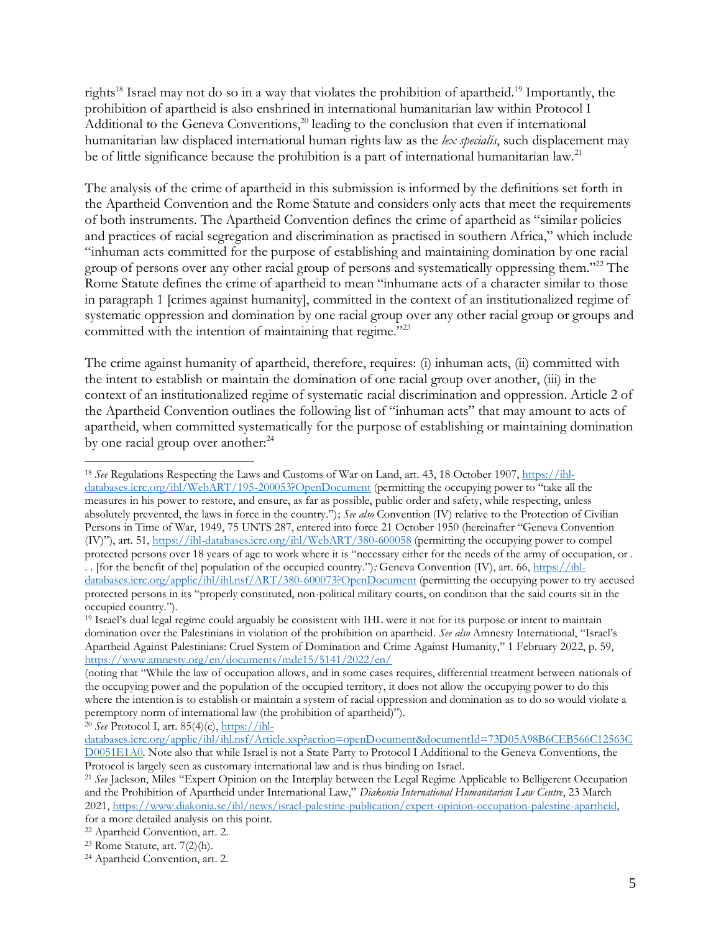rights<sup>18</sup> Israel may not do so in a way that violates the prohibition of apartheid.<sup>19</sup> Importantly, the prohibition of apartheid is also enshrined in international humanitarian law within Protocol I Additional to the Geneva Conventions,<sup>20</sup> leading to the conclusion that even if international humanitarian law displaced international human rights law as the *lex specialis*, such displacement may be of little significance because the prohibition is a part of international humanitarian law.<sup>21</sup>

The analysis of the crime of apartheid in this submission is informed by the definitions set forth in the Apartheid Convention and the Rome Statute and considers only acts that meet the requirements of both instruments. The Apartheid Convention defines the crime of apartheid as "similar policies and practices of racial segregation and discrimination as practised in southern Africa," which include "inhuman acts committed for the purpose of establishing and maintaining domination by one racial group of persons over any other racial group of persons and systematically oppressing them."<sup>22</sup> The Rome Statute defines the crime of apartheid to mean "inhumane acts of a character similar to those in paragraph 1 [crimes against humanity], committed in the context of an institutionalized regime of systematic oppression and domination by one racial group over any other racial group or groups and committed with the intention of maintaining that regime."<sup>23</sup>

The crime against humanity of apartheid, therefore, requires: (i) inhuman acts, (ii) committed with the intent to establish or maintain the domination of one racial group over another, (iii) in the context of an institutionalized regime of systematic racial discrimination and oppression. Article 2 of the Apartheid Convention outlines the following list of "inhuman acts" that may amount to acts of apartheid, when committed systematically for the purpose of establishing or maintaining domination by one racial group over another:<sup>24</sup>

<sup>20</sup> *See* Protocol I, art. 85(4)(c), [https://ihl-](https://ihl-databases.icrc.org/applic/ihl/ihl.nsf/Article.xsp?action=openDocument&documentId=73D05A98B6CEB566C12563CD0051E1A0)

<sup>18</sup> *See* Regulations Respecting the Laws and Customs of War on Land, art. 43, 18 October 1907[, https://ihl](https://ihl-databases.icrc.org/ihl/WebART/195-200053?OpenDocument)[databases.icrc.org/ihl/WebART/195-200053?OpenDocument](https://ihl-databases.icrc.org/ihl/WebART/195-200053?OpenDocument) (permitting the occupying power to "take all the measures in his power to restore, and ensure, as far as possible, public order and safety, while respecting, unless absolutely prevented, the laws in force in the country."); *See also* Convention (IV) relative to the Protection of Civilian Persons in Time of War, 1949, 75 UNTS 287, entered into force 21 October 1950 (hereinafter "Geneva Convention (IV)"), art. 51, <https://ihl-databases.icrc.org/ihl/WebART/380-600058> (permitting the occupying power to compel protected persons over 18 years of age to work where it is "necessary either for the needs of the army of occupation, or . . . [for the benefit of the] population of the occupied country.")*;* Geneva Convention (IV), art. 66[, https://ihl](https://ihl-databases.icrc.org/applic/ihl/ihl.nsf/ART/380-600073?OpenDocument)[databases.icrc.org/applic/ihl/ihl.nsf/ART/380-600073?OpenDocument](https://ihl-databases.icrc.org/applic/ihl/ihl.nsf/ART/380-600073?OpenDocument) (permitting the occupying power to try accused protected persons in its "properly constituted, non-political military courts, on condition that the said courts sit in the occupied country.").

<sup>19</sup> Israel's dual legal regime could arguably be consistent with IHL were it not for its purpose or intent to maintain domination over the Palestinians in violation of the prohibition on apartheid. *See also* Amnesty International, "Israel's Apartheid Against Palestinians: Cruel System of Domination and Crime Against Humanity," 1 February 2022, p. 59, <https://www.amnesty.org/en/documents/mde15/5141/2022/en/>

<sup>(</sup>noting that "While the law of occupation allows, and in some cases requires, differential treatment between nationals of the occupying power and the population of the occupied territory, it does not allow the occupying power to do this where the intention is to establish or maintain a system of racial oppression and domination as to do so would violate a peremptory norm of international law (the prohibition of apartheid)").

[databases.icrc.org/applic/ihl/ihl.nsf/Article.xsp?action=openDocument&documentId=73D05A98B6CEB566C12563C](https://ihl-databases.icrc.org/applic/ihl/ihl.nsf/Article.xsp?action=openDocument&documentId=73D05A98B6CEB566C12563CD0051E1A0) [D0051E1A0.](https://ihl-databases.icrc.org/applic/ihl/ihl.nsf/Article.xsp?action=openDocument&documentId=73D05A98B6CEB566C12563CD0051E1A0) Note also that while Israel is not a State Party to Protocol I Additional to the Geneva Conventions, the Protocol is largely seen as customary international law and is thus binding on Israel.

<sup>21</sup> *See* Jackson, Miles "Expert Opinion on the Interplay between the Legal Regime Applicable to Belligerent Occupation and the Prohibition of Apartheid under International Law," *Diakonia International Humanitarian Law Centre*, 23 March 2021[, https://www.diakonia.se/ihl/news/israel-palestine-publication/expert-opinion-occupation-palestine-apartheid,](https://www.diakonia.se/ihl/news/israel-palestine-publication/expert-opinion-occupation-palestine-apartheid) for a more detailed analysis on this point.

<sup>22</sup> Apartheid Convention, art. 2.

 $23$  Rome Statute, art.  $7(2)(h)$ .

<sup>24</sup> Apartheid Convention, art. 2.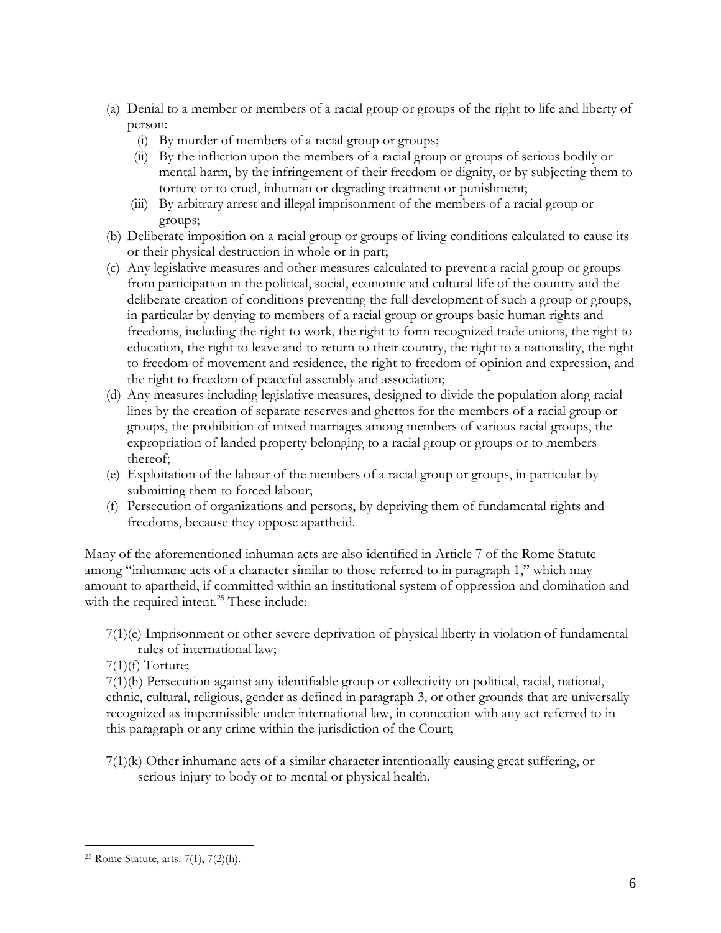- (a) Denial to a member or members of a racial group or groups of the right to life and liberty of person:
	- (i) By murder of members of a racial group or groups;
	- (ii) By the infliction upon the members of a racial group or groups of serious bodily or mental harm, by the infringement of their freedom or dignity, or by subjecting them to torture or to cruel, inhuman or degrading treatment or punishment;
	- (iii) By arbitrary arrest and illegal imprisonment of the members of a racial group or groups;
- (b) Deliberate imposition on a racial group or groups of living conditions calculated to cause its or their physical destruction in whole or in part;
- (c) Any legislative measures and other measures calculated to prevent a racial group or groups from participation in the political, social, economic and cultural life of the country and the deliberate creation of conditions preventing the full development of such a group or groups, in particular by denying to members of a racial group or groups basic human rights and freedoms, including the right to work, the right to form recognized trade unions, the right to education, the right to leave and to return to their country, the right to a nationality, the right to freedom of movement and residence, the right to freedom of opinion and expression, and the right to freedom of peaceful assembly and association;
- (d) Any measures including legislative measures, designed to divide the population along racial lines by the creation of separate reserves and ghettos for the members of a racial group or groups, the prohibition of mixed marriages among members of various racial groups, the expropriation of landed property belonging to a racial group or groups or to members thereof;
- (e) Exploitation of the labour of the members of a racial group or groups, in particular by submitting them to forced labour;
- (f) Persecution of organizations and persons, by depriving them of fundamental rights and freedoms, because they oppose apartheid.

Many of the aforementioned inhuman acts are also identified in Article 7 of the Rome Statute among "inhumane acts of a character similar to those referred to in paragraph 1," which may amount to apartheid, if committed within an institutional system of oppression and domination and with the required intent.<sup>25</sup> These include:

- 7(1)(e) Imprisonment or other severe deprivation of physical liberty in violation of fundamental rules of international law;
- 7(1)(f) Torture;

7(1)(h) Persecution against any identifiable group or collectivity on political, racial, national, ethnic, cultural, religious, gender as defined in paragraph 3, or other grounds that are universally recognized as impermissible under international law, in connection with any act referred to in this paragraph or any crime within the jurisdiction of the Court;

7(1)(k) Other inhumane acts of a similar character intentionally causing great suffering, or serious injury to body or to mental or physical health.

<sup>&</sup>lt;sup>25</sup> Rome Statute, arts.  $7(1)$ ,  $7(2)(h)$ .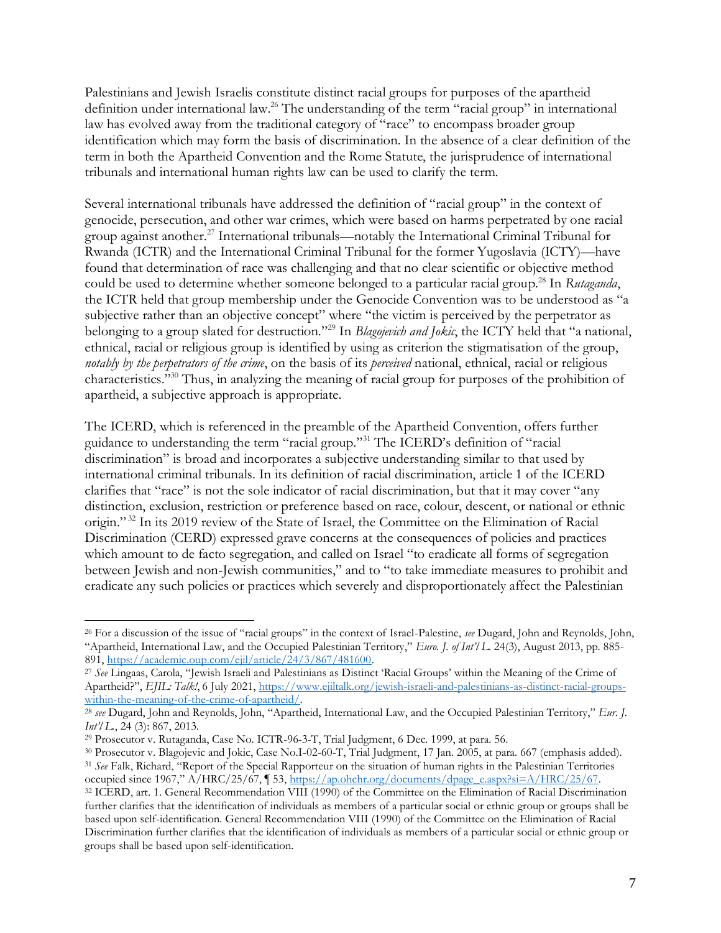Palestinians and Jewish Israelis constitute distinct racial groups for purposes of the apartheid definition under international law.<sup>26</sup> The understanding of the term "racial group" in international law has evolved away from the traditional category of "race" to encompass broader group identification which may form the basis of discrimination. In the absence of a clear definition of the term in both the Apartheid Convention and the Rome Statute, the jurisprudence of international tribunals and international human rights law can be used to clarify the term.

Several international tribunals have addressed the definition of "racial group" in the context of genocide, persecution, and other war crimes, which were based on harms perpetrated by one racial group against another.<sup>27</sup> International tribunals—notably the International Criminal Tribunal for Rwanda (ICTR) and the International Criminal Tribunal for the former Yugoslavia (ICTY)—have found that determination of race was challenging and that no clear scientific or objective method could be used to determine whether someone belonged to a particular racial group.<sup>28</sup> In *Rutaganda*, the ICTR held that group membership under the Genocide Convention was to be understood as "a subjective rather than an objective concept" where "the victim is perceived by the perpetrator as belonging to a group slated for destruction."<sup>29</sup> In *Blagojevich and Jokic*, the ICTY held that "a national, ethnical, racial or religious group is identified by using as criterion the stigmatisation of the group, *notably by the perpetrators of the crime*, on the basis of its *perceived* national, ethnical, racial or religious characteristics."<sup>30</sup> Thus, in analyzing the meaning of racial group for purposes of the prohibition of apartheid, a subjective approach is appropriate.

The ICERD, which is referenced in the preamble of the Apartheid Convention, offers further guidance to understanding the term "racial group."<sup>31</sup> The ICERD's definition of "racial discrimination" is broad and incorporates a subjective understanding similar to that used by international criminal tribunals. In its definition of racial discrimination, article 1 of the ICERD clarifies that "race" is not the sole indicator of racial discrimination, but that it may cover "any distinction, exclusion, restriction or preference based on race, colour, descent, or national or ethnic origin." <sup>32</sup> In its 2019 review of the State of Israel, the Committee on the Elimination of Racial Discrimination (CERD) expressed grave concerns at the consequences of policies and practices which amount to de facto segregation, and called on Israel "to eradicate all forms of segregation between Jewish and non-Jewish communities," and to "to take immediate measures to prohibit and eradicate any such policies or practices which severely and disproportionately affect the Palestinian

<sup>26</sup> For a discussion of the issue of "racial groups" in the context of Israel-Palestine, *see* Dugard, John and Reynolds, John, "Apartheid, International Law, and the Occupied Palestinian Territory," *Euro. J. of Int'l L.* 24(3), August 2013, pp. 885- 891[, https://academic.oup.com/ejil/article/24/3/867/481600.](https://academic.oup.com/ejil/article/24/3/867/481600)

<sup>27</sup> *See* Lingaas, Carola, "Jewish Israeli and Palestinians as Distinct 'Racial Groups' within the Meaning of the Crime of Apartheid?", *EJIL: Talk!*, 6 July 2021[, https://www.ejiltalk.org/jewish-israeli-and-palestinians-as-distinct-racial-groups](https://www.ejiltalk.org/jewish-israeli-and-palestinians-as-distinct-racial-groups-within-the-meaning-of-the-crime-of-apartheid/)[within-the-meaning-of-the-crime-of-apartheid/.](https://www.ejiltalk.org/jewish-israeli-and-palestinians-as-distinct-racial-groups-within-the-meaning-of-the-crime-of-apartheid/)

<sup>28</sup> *see* Dugard, John and Reynolds, John, "Apartheid, International Law, and the Occupied Palestinian Territory," *Eur. J. Int'l L.*, 24 (3): 867, 2013.

<sup>29</sup> Prosecutor v. Rutaganda, Case No. ICTR-96-3-T, Trial Judgment, 6 Dec. 1999, at para. 56.

<sup>30</sup> Prosecutor v. Blagojevic and Jokic, Case No.I-02-60-T, Trial Judgment, 17 Jan. 2005, at para. 667 (emphasis added). <sup>31</sup> *See* Falk, Richard, "Report of the Special Rapporteur on the situation of human rights in the Palestinian Territories occupied since 1967," A/HRC/25/67, ¶ 53[, https://ap.ohchr.org/documents/dpage\\_e.aspx?si=A/HRC/25/67.](https://ap.ohchr.org/documents/dpage_e.aspx?si=A/HRC/25/67)

<sup>32</sup> ICERD, art. 1. General Recommendation VIII (1990) of the Committee on the Elimination of Racial Discrimination further clarifies that the identification of individuals as members of a particular social or ethnic group or groups shall be based upon self-identification. General Recommendation VIII (1990) of the Committee on the Elimination of Racial Discrimination further clarifies that the identification of individuals as members of a particular social or ethnic group or groups shall be based upon self-identification.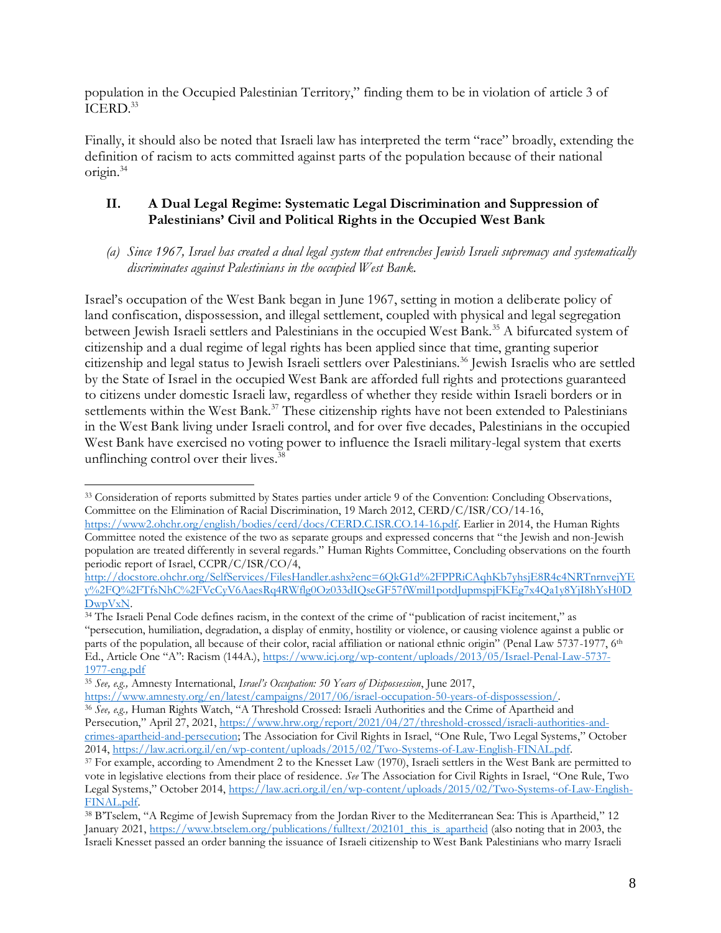population in the Occupied Palestinian Territory," finding them to be in violation of article 3 of ICERD.<sup>33</sup>

Finally, it should also be noted that Israeli law has interpreted the term "race" broadly, extending the definition of racism to acts committed against parts of the population because of their national origin.<sup>34</sup>

## **II. A Dual Legal Regime: Systematic Legal Discrimination and Suppression of Palestinians' Civil and Political Rights in the Occupied West Bank**

*(a) Since 1967, Israel has created a dual legal system that entrenches Jewish Israeli supremacy and systematically discriminates against Palestinians in the occupied West Bank.*

Israel's occupation of the West Bank began in June 1967, setting in motion a deliberate policy of land confiscation, dispossession, and illegal settlement, coupled with physical and legal segregation between Jewish Israeli settlers and Palestinians in the occupied West Bank.<sup>35</sup> A bifurcated system of citizenship and a dual regime of legal rights has been applied since that time, granting superior citizenship and legal status to Jewish Israeli settlers over Palestinians.<sup>36</sup> Jewish Israelis who are settled by the State of Israel in the occupied West Bank are afforded full rights and protections guaranteed to citizens under domestic Israeli law, regardless of whether they reside within Israeli borders or in settlements within the West Bank.<sup>37</sup> These citizenship rights have not been extended to Palestinians in the West Bank living under Israeli control, and for over five decades, Palestinians in the occupied West Bank have exercised no voting power to influence the Israeli military-legal system that exerts unflinching control over their lives.<sup>38</sup>

<sup>34</sup> The Israeli Penal Code defines racism, in the context of the crime of "publication of racist incitement," as "persecution, humiliation, degradation, a display of enmity, hostility or violence, or causing violence against a public or parts of the population, all because of their color, racial affiliation or national ethnic origin" (Penal Law 5737-1977, 6<sup>th</sup> Ed., Article One "A": Racism (144A.), [https://www.icj.org/wp-content/uploads/2013/05/Israel-Penal-Law-5737-](https://www.icj.org/wp-content/uploads/2013/05/Israel-Penal-Law-5737-1977-eng.pdf) [1977-eng.pdf](https://www.icj.org/wp-content/uploads/2013/05/Israel-Penal-Law-5737-1977-eng.pdf)

<sup>33</sup> Consideration of reports submitted by States parties under article 9 of the Convention: Concluding Observations, Committee on the Elimination of Racial Discrimination, 19 March 2012, CERD/C/ISR/CO/14-16,

[https://www2.ohchr.org/english/bodies/cerd/docs/CERD.C.ISR.CO.14-16.pdf.](https://www2.ohchr.org/english/bodies/cerd/docs/CERD.C.ISR.CO.14-16.pdf) Earlier in 2014, the Human Rights Committee noted the existence of the two as separate groups and expressed concerns that "the Jewish and non-Jewish population are treated differently in several regards." Human Rights Committee, Concluding observations on the fourth periodic report of Israel, CCPR/C/ISR/CO/4,

[http://docstore.ohchr.org/SelfServices/FilesHandler.ashx?enc=6QkG1d%2FPPRiCAqhKb7yhsjE8R4c4NRTnrnvejYE](http://docstore.ohchr.org/SelfServices/FilesHandler.ashx?enc=6QkG1d%2FPPRiCAqhKb7yhsjE8R4c4NRTnrnvejYEy%2FQ%2FTfsNhC%2FVcCyV6AaesRq4RWflg0Oz033dIQseGF57fWmil1potdJupmspjFKEg7x4Qa1y8YjI8hYsH0DDwpVxN) [y%2FQ%2FTfsNhC%2FVcCyV6AaesRq4RWflg0Oz033dIQseGF57fWmil1potdJupmspjFKEg7x4Qa1y8YjI8hYsH0D](http://docstore.ohchr.org/SelfServices/FilesHandler.ashx?enc=6QkG1d%2FPPRiCAqhKb7yhsjE8R4c4NRTnrnvejYEy%2FQ%2FTfsNhC%2FVcCyV6AaesRq4RWflg0Oz033dIQseGF57fWmil1potdJupmspjFKEg7x4Qa1y8YjI8hYsH0DDwpVxN) [DwpVxN.](http://docstore.ohchr.org/SelfServices/FilesHandler.ashx?enc=6QkG1d%2FPPRiCAqhKb7yhsjE8R4c4NRTnrnvejYEy%2FQ%2FTfsNhC%2FVcCyV6AaesRq4RWflg0Oz033dIQseGF57fWmil1potdJupmspjFKEg7x4Qa1y8YjI8hYsH0DDwpVxN) 

<sup>35</sup> *See, e.g.,* Amnesty International, *Israel's Occupation: 50 Years of Dispossession*, June 2017,

[https://www.amnesty.org/en/latest/campaigns/2017/06/israel-occupation-50-years-of-dispossession/.](https://www.amnesty.org/en/latest/campaigns/2017/06/israel-occupation-50-years-of-dispossession/) <sup>36</sup> *See, e.g.,* Human Rights Watch, "A Threshold Crossed: Israeli Authorities and the Crime of Apartheid and Persecution," April 27, 2021, [https://www.hrw.org/report/2021/04/27/threshold-crossed/israeli-authorities-and](https://www.hrw.org/report/2021/04/27/threshold-crossed/israeli-authorities-and-crimes-apartheid-and-persecution)[crimes-apartheid-and-persecution;](https://www.hrw.org/report/2021/04/27/threshold-crossed/israeli-authorities-and-crimes-apartheid-and-persecution) The Association for Civil Rights in Israel, "One Rule, Two Legal Systems," October 2014[, https://law.acri.org.il/en/wp-content/uploads/2015/02/Two-Systems-of-Law-English-FINAL.pdf.](https://law.acri.org.il/en/wp-content/uploads/2015/02/Two-Systems-of-Law-English-FINAL.pdf)

<sup>37</sup> For example, according to Amendment 2 to the Knesset Law (1970), Israeli settlers in the West Bank are permitted to vote in legislative elections from their place of residence. *See* The Association for Civil Rights in Israel, "One Rule, Two Legal Systems," October 2014, [https://law.acri.org.il/en/wp-content/uploads/2015/02/Two-Systems-of-Law-English-](https://law.acri.org.il/en/wp-content/uploads/2015/02/Two-Systems-of-Law-English-FINAL.pdf)[FINAL.pdf.](https://law.acri.org.il/en/wp-content/uploads/2015/02/Two-Systems-of-Law-English-FINAL.pdf)

<sup>38</sup> B'Tselem, "A Regime of Jewish Supremacy from the Jordan River to the Mediterranean Sea: This is Apartheid," 12 January 2021, [https://www.btselem.org/publications/fulltext/202101\\_this\\_is\\_apartheid](https://www.btselem.org/publications/fulltext/202101_this_is_apartheid) (also noting that in 2003, the Israeli Knesset passed an order banning the issuance of Israeli citizenship to West Bank Palestinians who marry Israeli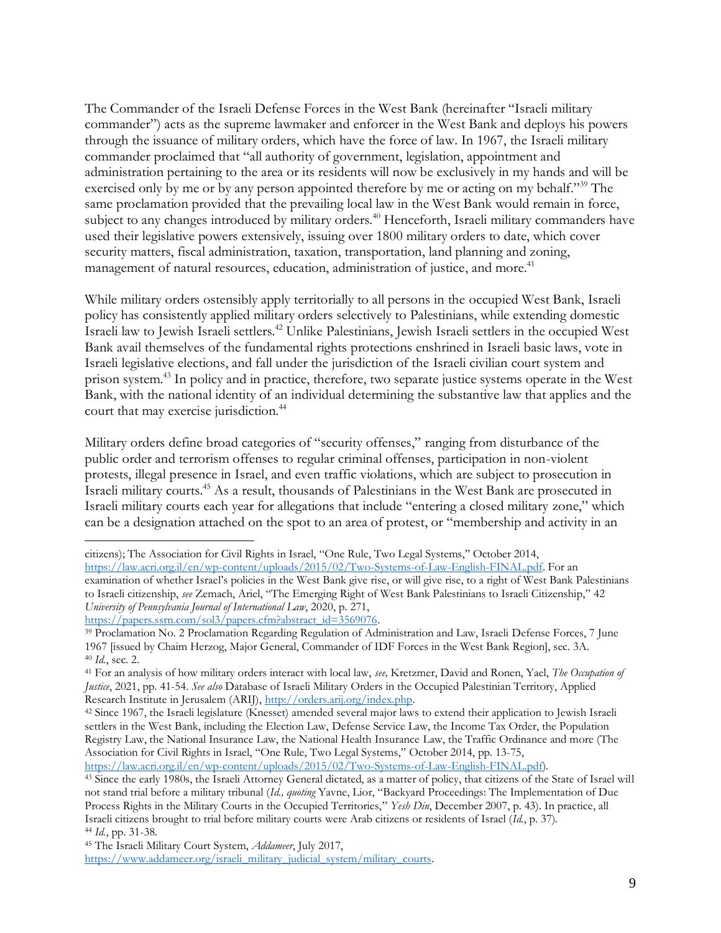The Commander of the Israeli Defense Forces in the West Bank (hereinafter "Israeli military commander") acts as the supreme lawmaker and enforcer in the West Bank and deploys his powers through the issuance of military orders, which have the force of law. In 1967, the Israeli military commander proclaimed that "all authority of government, legislation, appointment and administration pertaining to the area or its residents will now be exclusively in my hands and will be exercised only by me or by any person appointed therefore by me or acting on my behalf."<sup>39</sup> The same proclamation provided that the prevailing local law in the West Bank would remain in force, subject to any changes introduced by military orders.<sup>40</sup> Henceforth, Israeli military commanders have used their legislative powers extensively, issuing over 1800 military orders to date, which cover security matters, fiscal administration, taxation, transportation, land planning and zoning, management of natural resources, education, administration of justice, and more.<sup>41</sup>

While military orders ostensibly apply territorially to all persons in the occupied West Bank, Israeli policy has consistently applied military orders selectively to Palestinians, while extending domestic Israeli law to Jewish Israeli settlers.<sup>42</sup> Unlike Palestinians, Jewish Israeli settlers in the occupied West Bank avail themselves of the fundamental rights protections enshrined in Israeli basic laws, vote in Israeli legislative elections, and fall under the jurisdiction of the Israeli civilian court system and prison system.<sup>43</sup> In policy and in practice, therefore, two separate justice systems operate in the West Bank, with the national identity of an individual determining the substantive law that applies and the court that may exercise jurisdiction.<sup>44</sup>

Military orders define broad categories of "security offenses," ranging from disturbance of the public order and terrorism offenses to regular criminal offenses, participation in non-violent protests, illegal presence in Israel, and even traffic violations, which are subject to prosecution in Israeli military courts. <sup>45</sup> As a result, thousands of Palestinians in the West Bank are prosecuted in Israeli military courts each year for allegations that include "entering a closed military zone," which can be a designation attached on the spot to an area of protest, or "membership and activity in an

citizens); The Association for Civil Rights in Israel, "One Rule, Two Legal Systems," October 2014, [https://law.acri.org.il/en/wp-content/uploads/2015/02/Two-Systems-of-Law-English-FINAL.pdf.](https://law.acri.org.il/en/wp-content/uploads/2015/02/Two-Systems-of-Law-English-FINAL.pdf) For an examination of whether Israel's policies in the West Bank give rise, or will give rise, to a right of West Bank Palestinians to Israeli citizenship, *see* Zemach, Ariel, "The Emerging Right of West Bank Palestinians to Israeli Citizenship," 42 *University of Pennsylvania Journal of International Law*, 2020, p. 271, https://papers.ssrn.com/sol3/papers.cfm?abstract\_id=3569076.

<sup>39</sup> Proclamation No. 2 Proclamation Regarding Regulation of Administration and Law, Israeli Defense Forces, 7 June 1967 [issued by Chaim Herzog, Major General, Commander of IDF Forces in the West Bank Region], sec. 3A. <sup>40</sup> *Id.*, sec. 2.

<sup>41</sup> For an analysis of how military orders interact with local law, *see,* Kretzmer, David and Ronen, Yael, *The Occupation of Justice*, 2021, pp. 41-54. *See also* Database of Israeli Military Orders in the Occupied Palestinian Territory, Applied Research Institute in Jerusalem (ARIJ)[, http://orders.arij.org/index.php.](http://orders.arij.org/index.php) 

<sup>42</sup> Since 1967, the Israeli legislature (Knesset) amended several major laws to extend their application to Jewish Israeli settlers in the West Bank, including the Election Law, Defense Service Law, the Income Tax Order, the Population Registry Law, the National Insurance Law, the National Health Insurance Law, the Traffic Ordinance and more (The Association for Civil Rights in Israel, "One Rule, Two Legal Systems," October 2014, pp. 13-75, [https://law.acri.org.il/en/wp-content/uploads/2015/02/Two-Systems-of-Law-English-FINAL.pdf\)](https://law.acri.org.il/en/wp-content/uploads/2015/02/Two-Systems-of-Law-English-FINAL.pdf).

<sup>43</sup> Since the early 1980s, the Israeli Attorney General dictated, as a matter of policy, that citizens of the State of Israel will not stand trial before a military tribunal (*Id., quoting* Yavne, Lior, "Backyard Proceedings: The Implementation of Due Process Rights in the Military Courts in the Occupied Territories," *Yesh Din*, December 2007, p. 43). In practice, all Israeli citizens brought to trial before military courts were Arab citizens or residents of Israel (*Id.*, p. 37)*.* <sup>44</sup> *Id.*, pp. 31-38.

<sup>45</sup> The Israeli Military Court System, *Addameer*, July 2017,

https://www.addameer.org/israeli\_military\_judicial\_system/military\_courts.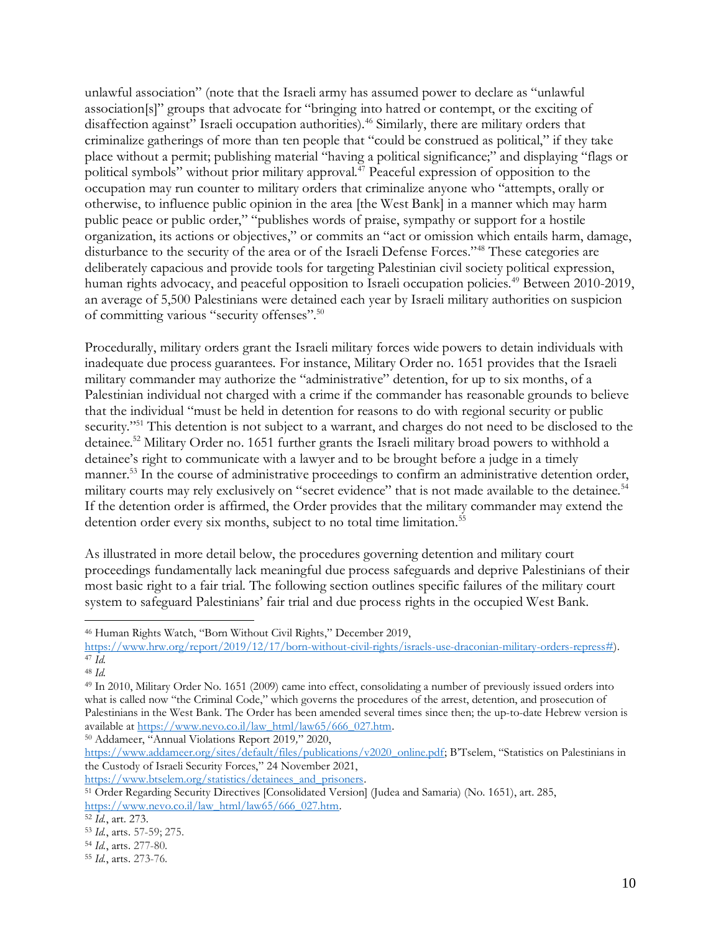unlawful association" (note that the Israeli army has assumed power to declare as "unlawful association[s]" groups that advocate for "bringing into hatred or contempt, or the exciting of disaffection against" Israeli occupation authorities).<sup>46</sup> Similarly, there are military orders that criminalize gatherings of more than ten people that "could be construed as political," if they take place without a permit; publishing material "having a political significance;" and displaying "flags or political symbols" without prior military approval.<sup>47</sup> Peaceful expression of opposition to the occupation may run counter to military orders that criminalize anyone who "attempts, orally or otherwise, to influence public opinion in the area [the West Bank] in a manner which may harm public peace or public order," "publishes words of praise, sympathy or support for a hostile organization, its actions or objectives," or commits an "act or omission which entails harm, damage, disturbance to the security of the area or of the Israeli Defense Forces."<sup>48</sup> These categories are deliberately capacious and provide tools for targeting Palestinian civil society political expression, human rights advocacy, and peaceful opposition to Israeli occupation policies.<sup>49</sup> Between 2010-2019, an average of 5,500 Palestinians were detained each year by Israeli military authorities on suspicion of committing various "security offenses".<sup>50</sup>

Procedurally, military orders grant the Israeli military forces wide powers to detain individuals with inadequate due process guarantees. For instance, Military Order no. 1651 provides that the Israeli military commander may authorize the "administrative" detention, for up to six months, of a Palestinian individual not charged with a crime if the commander has reasonable grounds to believe that the individual "must be held in detention for reasons to do with regional security or public security."<sup>51</sup> This detention is not subject to a warrant, and charges do not need to be disclosed to the detainee.<sup>52</sup> Military Order no. 1651 further grants the Israeli military broad powers to withhold a detainee's right to communicate with a lawyer and to be brought before a judge in a timely manner.<sup>53</sup> In the course of administrative proceedings to confirm an administrative detention order, military courts may rely exclusively on "secret evidence" that is not made available to the detainee.<sup>54</sup> If the detention order is affirmed, the Order provides that the military commander may extend the detention order every six months, subject to no total time limitation.<sup>55</sup>

As illustrated in more detail below, the procedures governing detention and military court proceedings fundamentally lack meaningful due process safeguards and deprive Palestinians of their most basic right to a fair trial. The following section outlines specific failures of the military court system to safeguard Palestinians' fair trial and due process rights in the occupied West Bank.

<sup>50</sup> Addameer, "Annual Violations Report 2019*,*" 2020,

[https://www.btselem.org/statistics/detainees\\_and\\_prisoners.](https://www.btselem.org/statistics/detainees_and_prisoners)

<sup>46</sup> Human Rights Watch, "Born Without Civil Rights," December 2019,

[https://www.hrw.org/report/2019/12/17/born-without-civil-rights/israels-use-draconian-military-orders-repress#\)](https://www.hrw.org/report/2019/12/17/born-without-civil-rights/israels-use-draconian-military-orders-repress). <sup>47</sup> *Id.*

<sup>48</sup> *Id.*

<sup>49</sup> In 2010, Military Order No. 1651 (2009) came into effect, consolidating a number of previously issued orders into what is called now "the Criminal Code," which governs the procedures of the arrest, detention, and prosecution of Palestinians in the West Bank. The Order has been amended several times since then; the up-to-date Hebrew version is available at [https://www.nevo.co.il/law\\_html/law65/666\\_027.htm.](https://www.nevo.co.il/law_html/law65/666_027.htm)

[https://www.addameer.org/sites/default/files/publications/v2020\\_online.pdf;](https://www.addameer.org/sites/default/files/publications/v2020_online.pdf) B'Tselem, "Statistics on Palestinians in the Custody of Israeli Security Forces," 24 November 2021,

<sup>51</sup> Order Regarding Security Directives [Consolidated Version] (Judea and Samaria) (No. 1651), art. 285, [https://www.nevo.co.il/law\\_html/law65/666\\_027.htm.](https://www.nevo.co.il/law_html/law65/666_027.htm)

<sup>52</sup> *Id.*, art. 273.

<sup>53</sup> *Id.*, arts. 57-59; 275.

<sup>54</sup> *Id.*, arts. 277-80.

<sup>55</sup> *Id.*, arts. 273-76.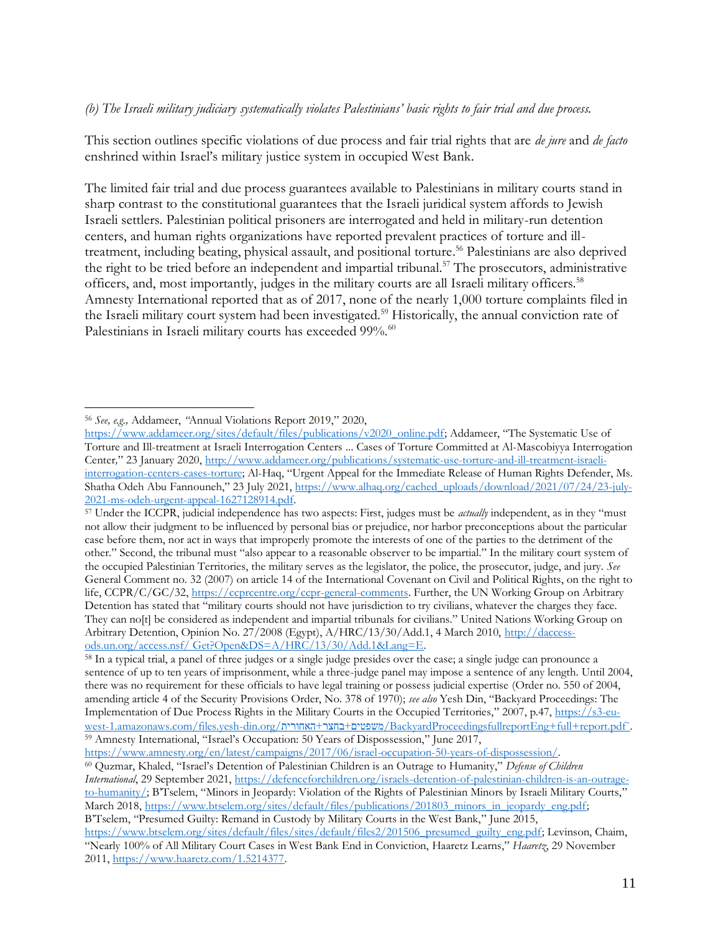#### *(b) The Israeli military judiciary systematically violates Palestinians' basic rights to fair trial and due process.*

This section outlines specific violations of due process and fair trial rights that are *de jure* and *de facto*  enshrined within Israel's military justice system in occupied West Bank.

The limited fair trial and due process guarantees available to Palestinians in military courts stand in sharp contrast to the constitutional guarantees that the Israeli juridical system affords to Jewish Israeli settlers. Palestinian political prisoners are interrogated and held in military-run detention centers, and human rights organizations have reported prevalent practices of torture and illtreatment, including beating, physical assault, and positional torture. <sup>56</sup> Palestinians are also deprived the right to be tried before an independent and impartial tribunal.<sup>57</sup> The prosecutors, administrative officers, and, most importantly, judges in the military courts are all Israeli military officers.<sup>58</sup> Amnesty International reported that as of 2017, none of the nearly 1,000 torture complaints filed in the Israeli military court system had been investigated.<sup>59</sup> Historically, the annual conviction rate of Palestinians in Israeli military courts has exceeded 99%.<sup>60</sup>

<sup>56</sup> *See, e.g.,* Addameer, *"*Annual Violations Report 2019," 2020,

[https://www.addameer.org/sites/default/files/publications/v2020\\_online.pdf;](https://www.addameer.org/sites/default/files/publications/v2020_online.pdf) Addameer, "The Systematic Use of Torture and Ill-treatment at Israeli Interrogation Centers ... Cases of Torture Committed at Al-Mascobiyya Interrogation Center*,*" 23 January 2020, [http://www.addameer.org/publications/systematic-use-torture-and-ill-treatment-israeli](http://www.addameer.org/publications/systematic-use-torture-and-ill-treatment-israeli-interrogation-centers-cases-torture)[interrogation-centers-cases-torture;](http://www.addameer.org/publications/systematic-use-torture-and-ill-treatment-israeli-interrogation-centers-cases-torture) Al-Haq, "Urgent Appeal for the Immediate Release of Human Rights Defender, Ms. Shatha Odeh Abu Fannouneh," 23 July 2021, [https://www.alhaq.org/cached\\_uploads/download/2021/07/24/23-july-](https://www.alhaq.org/cached_uploads/download/2021/07/24/23-july-2021-ms-odeh-urgent-appeal-1627128914.pdf)[2021-ms-odeh-urgent-appeal-1627128914.pdf.](https://www.alhaq.org/cached_uploads/download/2021/07/24/23-july-2021-ms-odeh-urgent-appeal-1627128914.pdf)

<sup>57</sup> Under the ICCPR, judicial independence has two aspects: First, judges must be *actually* independent, as in they "must not allow their judgment to be influenced by personal bias or prejudice, nor harbor preconceptions about the particular case before them, nor act in ways that improperly promote the interests of one of the parties to the detriment of the other." Second, the tribunal must "also appear to a reasonable observer to be impartial." In the military court system of the occupied Palestinian Territories, the military serves as the legislator, the police, the prosecutor, judge, and jury. *See*  General Comment no. 32 (2007) on article 14 of the International Covenant on Civil and Political Rights, on the right to life, CCPR/C/GC/32, [https://ccprcentre.org/ccpr-general-comments.](https://ccprcentre.org/ccpr-general-comments) Further, the UN Working Group on Arbitrary Detention has stated that "military courts should not have jurisdiction to try civilians, whatever the charges they face. They can no[t] be considered as independent and impartial tribunals for civilians." United Nations Working Group on Arbitrary Detention, Opinion No. 27/2008 (Egypt), A/HRC/13/30/Add.1, 4 March 2010, [http://daccess](http://daccess-ods.un.org/access.nsf/%20Get?Open&DS=A/HRC/13/30/Add.1&Lang=E)[ods.un.org/access.nsf/ Get?Open&DS=A/HRC/13/30/Add.1&Lang=E.](http://daccess-ods.un.org/access.nsf/%20Get?Open&DS=A/HRC/13/30/Add.1&Lang=E)

<sup>58</sup> In a typical trial, a panel of three judges or a single judge presides over the case; a single judge can pronounce a sentence of up to ten years of imprisonment, while a three-judge panel may impose a sentence of any length. Until 2004, there was no requirement for these officials to have legal training or possess judicial expertise (Order no. 550 of 2004, amending article 4 of the Security Provisions Order, No. 378 of 1970); *see also* Yesh Din, "Backyard Proceedings: The Implementation of Due Process Rights in the Military Courts in the Occupied Territories," 2007, p.47, [https://s3-eu](https://s3-eu-west-1.amazonaws.com/files.yesh-din.org/משפטים+בחצר+האחורית/BackyardProceedingsfullreportEng+full+report.pdf)west-1.amazonaws.com/files.yesh-din.org/האחורית+בחצר+משפטים[/BackyardProceedingsfullreportEng+full+report.pdf`](https://s3-eu-west-1.amazonaws.com/files.yesh-din.org/משפטים+בחצר+האחורית/BackyardProceedingsfullreportEng+full+report.pdf). <sup>59</sup> Amnesty International, "Israel's Occupation: 50 Years of Dispossession," June 2017,

[https://www.amnesty.org/en/latest/campaigns/2017/06/israel-occupation-50-years-of-dispossession/.](https://www.amnesty.org/en/latest/campaigns/2017/06/israel-occupation-50-years-of-dispossession/) <sup>60</sup> Quzmar, Khaled, "Israel's Detention of Palestinian Children is an Outrage to Humanity," *Defense of Children International*, 29 September 2021, [https://defenceforchildren.org/israels-detention-of-palestinian-children-is-an-outrage](https://defenceforchildren.org/israels-detention-of-palestinian-children-is-an-outrage-to-humanity/)[to-humanity/;](https://defenceforchildren.org/israels-detention-of-palestinian-children-is-an-outrage-to-humanity/) B'Tselem, "Minors in Jeopardy: Violation of the Rights of Palestinian Minors by Israeli Military Courts," March 2018, [https://www.btselem.org/sites/default/files/publications/201803\\_minors\\_in\\_jeopardy\\_eng.pdf;](https://www.btselem.org/sites/default/files/publications/201803_minors_in_jeopardy_eng.pdf) B'Tselem, "Presumed Guilty: Remand in Custody by Military Courts in the West Bank," June 2015,

[https://www.btselem.org/sites/default/files/sites/default/files2/201506\\_presumed\\_guilty\\_eng.pdf;](https://www.btselem.org/sites/default/files/sites/default/files2/201506_presumed_guilty_eng.pdf) Levinson, Chaim, "Nearly 100% of All Military Court Cases in West Bank End in Conviction, Haaretz Learns," *Haaretz*, 29 November 2011[, https://www.haaretz.com/1.5214377.](https://www.haaretz.com/1.5214377)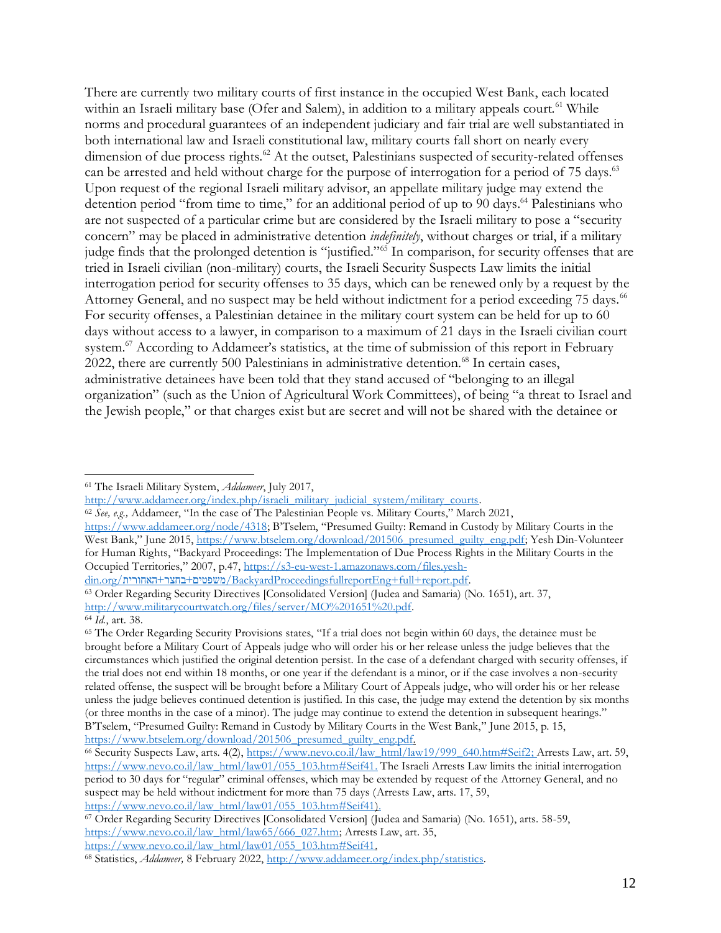There are currently two military courts of first instance in the occupied West Bank, each located within an Israeli military base (Ofer and Salem), in addition to a military appeals court.<sup>61</sup> While norms and procedural guarantees of an independent judiciary and fair trial are well substantiated in both international law and Israeli constitutional law, military courts fall short on nearly every dimension of due process rights.<sup>62</sup> At the outset, Palestinians suspected of security-related offenses can be arrested and held without charge for the purpose of interrogation for a period of 75 days.<sup>63</sup> Upon request of the regional Israeli military advisor, an appellate military judge may extend the detention period "from time to time," for an additional period of up to 90 days.<sup>64</sup> Palestinians who are not suspected of a particular crime but are considered by the Israeli military to pose a "security concern" may be placed in administrative detention *indefinitely*, without charges or trial, if a military judge finds that the prolonged detention is "justified."<sup>65</sup> In comparison, for security offenses that are tried in Israeli civilian (non-military) courts, the Israeli Security Suspects Law limits the initial interrogation period for security offenses to 35 days, which can be renewed only by a request by the Attorney General, and no suspect may be held without indictment for a period exceeding 75 days.<sup>66</sup> For security offenses, a Palestinian detainee in the military court system can be held for up to 60 days without access to a lawyer, in comparison to a maximum of 21 days in the Israeli civilian court system.<sup>67</sup> According to Addameer's statistics, at the time of submission of this report in February 2022, there are currently 500 Palestinians in administrative detention.<sup>68</sup> In certain cases, administrative detainees have been told that they stand accused of "belonging to an illegal organization" (such as the Union of Agricultural Work Committees), of being "a threat to Israel and the Jewish people," or that charges exist but are secret and will not be shared with the detainee or

[http://www.addameer.org/index.php/israeli\\_military\\_judicial\\_system/military\\_courts.](http://www.addameer.org/index.php/israeli_military_judicial_system/military_courts)

<sup>61</sup> The Israeli Military System, *Addameer*, July 2017,

<sup>62</sup> *See, e.g.,* Addameer, "In the case of The Palestinian People vs. Military Courts," March 2021,

[https://www.addameer.org/node/4318;](https://urldefense.proofpoint.com/v2/url?u=https-3A__www.addameer.org_node_4318&d=DwMFaQ&c=WO-RGvefibhHBZq3fL85hQ&r=kuP0tsgZcFZ85j_R6o2TZDnlGemUeOCWEDAUkazSSSA&m=10KB6XHRwPOZ4ck5Hdi02BtrW6f2aYNuPqkv2scvrmLsrepQDDark3BiaDa0z3FY&s=ux9ZEPORd_e-TwGfWx2XLKqHFoqr2h_jCI09GnPFjcE&e=) B'Tselem, "Presumed Guilty: Remand in Custody by Military Courts in the West Bank," June 2015[, https://www.btselem.org/download/201506\\_presumed\\_guilty\\_eng.pdf;](https://www.btselem.org/download/201506_presumed_guilty_eng.pdf) Yesh Din-Volunteer for Human Rights, "Backyard Proceedings: The Implementation of Due Process Rights in the Military Courts in the Occupied Territories," 2007, p.47, [https://s3-eu-west-1.amazonaws.com/files.yesh-](https://s3-eu-west-1.amazonaws.com/files.yesh-din.org/משפטים+בחצר+האחורית/BackyardProceedingsfullreportEng+full+report.pdf)

din.org/האחורית+בחצר+משפטים[/BackyardProceedingsfullreportEng+full+report.pdf.](https://s3-eu-west-1.amazonaws.com/files.yesh-din.org/משפטים+בחצר+האחורית/BackyardProceedingsfullreportEng+full+report.pdf)

<sup>63</sup> Order Regarding Security Directives [Consolidated Version] (Judea and Samaria) (No. 1651), art. 37, [http://www.militarycourtwatch.org/files/server/MO%201651%20.pdf.](http://www.militarycourtwatch.org/files/server/MO%201651%20.pdf) 

<sup>64</sup> *Id.*, art. 38.

<sup>65</sup> The Order Regarding Security Provisions states, "If a trial does not begin within 60 days, the detainee must be brought before a Military Court of Appeals judge who will order his or her release unless the judge believes that the circumstances which justified the original detention persist. In the case of a defendant charged with security offenses, if the trial does not end within 18 months, or one year if the defendant is a minor, or if the case involves a non-security related offense, the suspect will be brought before a Military Court of Appeals judge, who will order his or her release unless the judge believes continued detention is justified. In this case, the judge may extend the detention by six months (or three months in the case of a minor). The judge may continue to extend the detention in subsequent hearings." B'Tselem, "Presumed Guilty: Remand in Custody by Military Courts in the West Bank," June 2015, p. 15, [https://www.btselem.org/download/201506\\_presumed\\_guilty\\_eng.pdf.](https://www.btselem.org/download/201506_presumed_guilty_eng.pdf)

<sup>&</sup>lt;sup>66</sup> Security Suspects Law, arts. 4(2), [https://www.nevo.co.il/law\\_html/law19/999\\_640.htm#Seif2;](https://www.nevo.co.il/law_html/law19/999_640.htm#Seif2) Arrests Law, art. 59, [https://www.nevo.co.il/law\\_html/law01/055\\_103.htm#Seif41.](https://www.nevo.co.il/law_html/law01/055_103.htm#Seif41) The Israeli Arrests Law limits the initial interrogation period to 30 days for "regular" criminal offenses, which may be extended by request of the Attorney General, and no suspect may be held without indictment for more than 75 days (Arrests Law, arts. 17, 59, [https://www.nevo.co.il/law\\_html/law01/055\\_103.htm#Seif41\)](https://www.nevo.co.il/law_html/law01/055_103.htm#Seif41).

<sup>67</sup> Order Regarding Security Directives [Consolidated Version] (Judea and Samaria) (No. 1651), arts. 58-59, [https://www.nevo.co.il/law\\_html/law65/666\\_027.htm;](https://www.nevo.co.il/law_html/law65/666_027.htm) Arrests Law, art. 35, [https://www.nevo.co.il/law\\_html/law01/055\\_103.htm#Seif41.](https://www.nevo.co.il/law_html/law01/055_103.htm#Seif41)

<sup>68</sup> Statistics, *Addameer,* 8 February 2022, [http://www.addameer.org/index.php/statistics.](http://www.addameer.org/index.php/statistics)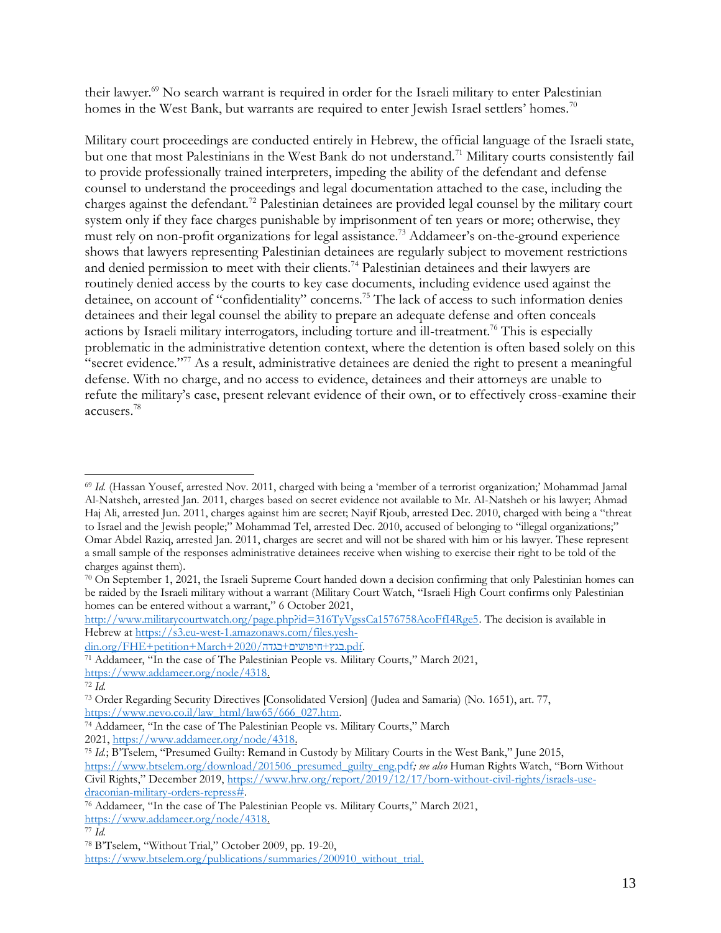their lawyer.<sup>69</sup> No search warrant is required in order for the Israeli military to enter Palestinian homes in the West Bank, but warrants are required to enter Jewish Israel settlers' homes.<sup>70</sup>

Military court proceedings are conducted entirely in Hebrew, the official language of the Israeli state, but one that most Palestinians in the West Bank do not understand.<sup>71</sup> Military courts consistently fail to provide professionally trained interpreters, impeding the ability of the defendant and defense counsel to understand the proceedings and legal documentation attached to the case, including the charges against the defendant.<sup>72</sup> Palestinian detainees are provided legal counsel by the military court system only if they face charges punishable by imprisonment of ten years or more; otherwise, they must rely on non-profit organizations for legal assistance.<sup>73</sup> Addameer's on-the-ground experience shows that lawyers representing Palestinian detainees are regularly subject to movement restrictions and denied permission to meet with their clients.<sup>74</sup> Palestinian detainees and their lawyers are routinely denied access by the courts to key case documents, including evidence used against the detainee, on account of "confidentiality" concerns.<sup>75</sup> The lack of access to such information denies detainees and their legal counsel the ability to prepare an adequate defense and often conceals actions by Israeli military interrogators, including torture and ill-treatment.<sup>76</sup> This is especially problematic in the administrative detention context, where the detention is often based solely on this "secret evidence."<sup>77</sup> As a result, administrative detainees are denied the right to present a meaningful defense. With no charge, and no access to evidence, detainees and their attorneys are unable to refute the military's case, present relevant evidence of their own, or to effectively cross-examine their accusers.<sup>78</sup>

[din.org/FHE+petition+March+2020/](https://s3.eu-west-1.amazonaws.com/files.yesh-din.org/FHE+petition+March+2020/בגץ+חיפושים+בגדה.pdf)בגדה+חיפושים+בגץ.pdf.

2021, [https://www.addameer.org/node/4318.](https://urldefense.proofpoint.com/v2/url?u=https-3A__www.addameer.org_node_4318&d=DwMFaQ&c=WO-RGvefibhHBZq3fL85hQ&r=kuP0tsgZcFZ85j_R6o2TZDnlGemUeOCWEDAUkazSSSA&m=10KB6XHRwPOZ4ck5Hdi02BtrW6f2aYNuPqkv2scvrmLsrepQDDark3BiaDa0z3FY&s=ux9ZEPORd_e-TwGfWx2XLKqHFoqr2h_jCI09GnPFjcE&e=)

<sup>69</sup> *Id.* (Hassan Yousef, arrested Nov. 2011, charged with being a 'member of a terrorist organization;' Mohammad Jamal Al-Natsheh, arrested Jan. 2011, charges based on secret evidence not available to Mr. Al-Natsheh or his lawyer; Ahmad Haj Ali, arrested Jun. 2011, charges against him are secret; Nayif Rjoub, arrested Dec. 2010, charged with being a "threat to Israel and the Jewish people;" Mohammad Tel, arrested Dec. 2010, accused of belonging to "illegal organizations;" Omar Abdel Raziq, arrested Jan. 2011, charges are secret and will not be shared with him or his lawyer. These represent a small sample of the responses administrative detainees receive when wishing to exercise their right to be told of the charges against them).

<sup>70</sup> On September 1, 2021, the Israeli Supreme Court handed down a decision confirming that only Palestinian homes can be raided by the Israeli military without a warrant (Military Court Watch, "Israeli High Court confirms only Palestinian homes can be entered without a warrant," 6 October 2021,

http://www.militarycourtwatch.org/page.php?id=316TyVgssCa1576758AcoFf14Rge5. The decision is available in Hebrew at [https://s3.eu-west-1.amazonaws.com/files.yesh-](https://s3.eu-west-1.amazonaws.com/files.yesh-din.org/FHE+petition+March+2020/בגץ+חיפושים+בגדה.pdf)

<sup>71</sup> Addameer, "In the case of The Palestinian People vs. Military Courts," March 2021,

[https://www.addameer.org/node/4318.](https://www.addameer.org/node/4318)

<sup>72</sup> *Id.*

<sup>73</sup> Order Regarding Security Directives [Consolidated Version] (Judea and Samaria) (No. 1651), art. 77, [https://www.nevo.co.il/law\\_html/law65/666\\_027.htm.](https://www.nevo.co.il/law_html/law65/666_027.htm)

<sup>74</sup> Addameer, "In the case of The Palestinian People vs. Military Courts," March

<sup>75</sup> *Id.*; B'Tselem, "Presumed Guilty: Remand in Custody by Military Courts in the West Bank," June 2015, [https://www.btselem.org/download/201506\\_presumed\\_guilty\\_eng.pdf](https://www.btselem.org/download/201506_presumed_guilty_eng.pdf)*; see also* Human Rights Watch, "Born Without Civil Rights," December 2019, [https://www.hrw.org/report/2019/12/17/born-without-civil-rights/israels-use](https://www.hrw.org/report/2019/12/17/born-without-civil-rights/israels-use-draconian-military-orders-repress)[draconian-military-orders-repress#.](https://www.hrw.org/report/2019/12/17/born-without-civil-rights/israels-use-draconian-military-orders-repress)

<sup>76</sup> Addameer, "In the case of The Palestinian People vs. Military Courts," March 2021, [https://www.addameer.org/node/4318.](https://urldefense.proofpoint.com/v2/url?u=https-3A__www.addameer.org_node_4318&d=DwMFaQ&c=WO-RGvefibhHBZq3fL85hQ&r=kuP0tsgZcFZ85j_R6o2TZDnlGemUeOCWEDAUkazSSSA&m=10KB6XHRwPOZ4ck5Hdi02BtrW6f2aYNuPqkv2scvrmLsrepQDDark3BiaDa0z3FY&s=ux9ZEPORd_e-TwGfWx2XLKqHFoqr2h_jCI09GnPFjcE&e=)

<sup>77</sup> *Id.*

<sup>78</sup> B'Tselem, "Without Trial," October 2009, pp. 19-20,

[https://www.btselem.org/publications/summaries/200910\\_without\\_trial.](https://www.btselem.org/publications/summaries/200910_without_trial)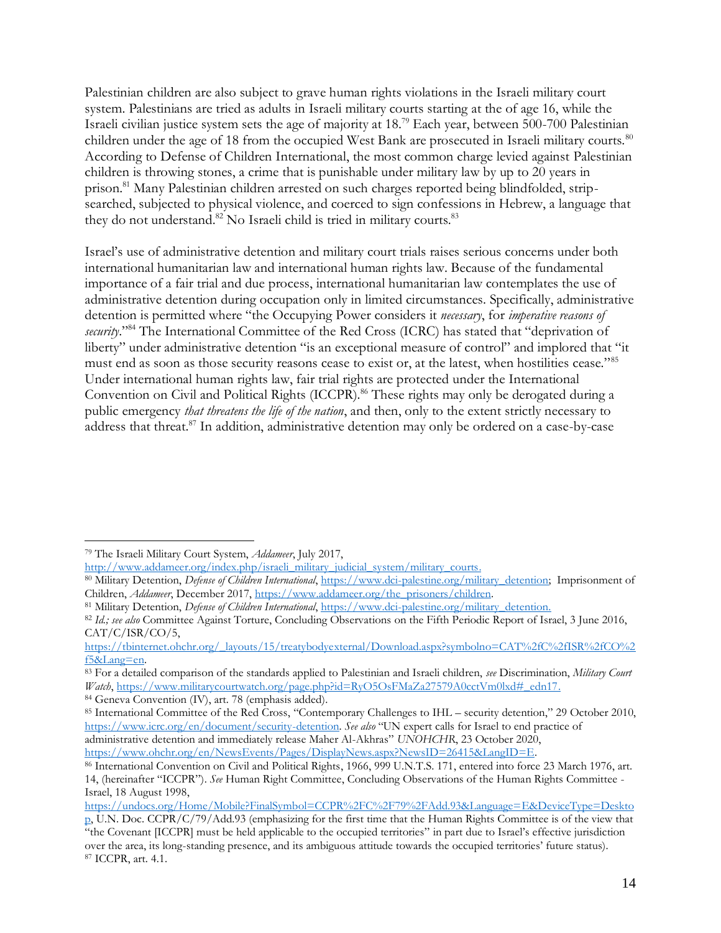Palestinian children are also subject to grave human rights violations in the Israeli military court system. Palestinians are tried as adults in Israeli military courts starting at the of age 16, while the Israeli civilian justice system sets the age of majority at 18.<sup>79</sup> Each year, between 500-700 Palestinian children under the age of 18 from the occupied West Bank are prosecuted in Israeli military courts.<sup>80</sup> According to Defense of Children International, the most common charge levied against Palestinian children is throwing stones, a crime that is punishable under military law by up to 20 years in prison.<sup>81</sup> Many Palestinian children arrested on such charges reported being blindfolded, stripsearched, subjected to physical violence, and coerced to sign confessions in Hebrew, a language that they do not understand. $82$  No Israeli child is tried in military courts. $83$ 

Israel's use of administrative detention and military court trials raises serious concerns under both international humanitarian law and international human rights law. Because of the fundamental importance of a fair trial and due process, international humanitarian law contemplates the use of administrative detention during occupation only in limited circumstances. Specifically, administrative detention is permitted where "the Occupying Power considers it *necessary*, for *imperative reasons of security*."<sup>84</sup> The International Committee of the Red Cross (ICRC) has stated that "deprivation of liberty" under administrative detention "is an exceptional measure of control" and implored that "it must end as soon as those security reasons cease to exist or, at the latest, when hostilities cease."<sup>85</sup> Under international human rights law, fair trial rights are protected under the International Convention on Civil and Political Rights (ICCPR).<sup>86</sup> These rights may only be derogated during a public emergency *that threatens the life of the nation*, and then, only to the extent strictly necessary to address that threat.<sup>87</sup> In addition, administrative detention may only be ordered on a case-by-case

[http://www.addameer.org/index.php/israeli\\_military\\_judicial\\_system/military\\_courts.](http://www.addameer.org/index.php/israeli_military_judicial_system/military_courts)

<sup>84</sup> Geneva Convention (IV), art. 78 (emphasis added).

<sup>79</sup> The Israeli Military Court System, *Addameer*, July 2017,

<sup>80</sup> Military Detention, *Defense of Children International*[, https://www.dci-palestine.org/military\\_detention;](https://www.dci-palestine.org/military_detention) Imprisonment of Children, *Addameer*, December 2017, [https://www.addameer.org/the\\_prisoners/children.](https://www.addameer.org/the_prisoners/children)

<sup>81</sup> Military Detention, *Defense of Children International*[, https://www.dci-palestine.org/military\\_detention.](https://www.dci-palestine.org/military_detention)

<sup>82</sup> Id.; see also Committee Against Torture, Concluding Observations on the Fifth Periodic Report of Israel, 3 June 2016, CAT/C/ISR/CO/5,

[https://tbinternet.ohchr.org/\\_layouts/15/treatybodyexternal/Download.aspx?symbolno=CAT%2fC%2fISR%2fCO%2](https://tbinternet.ohchr.org/_layouts/15/treatybodyexternal/Download.aspx?symbolno=CAT%2fC%2fISR%2fCO%2f5&Lang=en) [f5&Lang=en.](https://tbinternet.ohchr.org/_layouts/15/treatybodyexternal/Download.aspx?symbolno=CAT%2fC%2fISR%2fCO%2f5&Lang=en)

<sup>83</sup> For a detailed comparison of the standards applied to Palestinian and Israeli children, *see* Discrimination, *Military Court Watch*, [https://www.militarycourtwatch.org/page.php?id=RyO5OsFMaZa27579A0cctVm0lxd#\\_edn17.](https://www.militarycourtwatch.org/page.php?id=RyO5OsFMaZa27579A0cctVm0lxd#_edn17)

<sup>85</sup> International Committee of the Red Cross, "Contemporary Challenges to IHL – security detention," 29 October 2010, [https://www.icrc.org/en/document/security-detention.](https://www.icrc.org/en/document/security-detention) *See also* "UN expert calls for Israel to end practice of administrative detention and immediately release Maher Al-Akhras" *UNOHCHR*, 23 October 2020, [https://www.ohchr.org/en/NewsEvents/Pages/DisplayNews.aspx?NewsID=26415&LangID=E.](https://www.ohchr.org/en/NewsEvents/Pages/DisplayNews.aspx?NewsID=26415&LangID=E)

<sup>86</sup> International Convention on Civil and Political Rights, 1966, 999 U.N.T.S. 171, entered into force 23 March 1976, art. 14, (hereinafter "ICCPR"). *See* Human Right Committee, Concluding Observations of the Human Rights Committee - Israel, 18 August 1998,

[https://undocs.org/Home/Mobile?FinalSymbol=CCPR%2FC%2F79%2FAdd.93&Language=E&DeviceType=Deskto](https://undocs.org/Home/Mobile?FinalSymbol=CCPR%2FC%2F79%2FAdd.93&Language=E&DeviceType=Desktop) [p,](https://undocs.org/Home/Mobile?FinalSymbol=CCPR%2FC%2F79%2FAdd.93&Language=E&DeviceType=Desktop) U.N. Doc. CCPR/C/79/Add.93 (emphasizing for the first time that the Human Rights Committee is of the view that "the Covenant [ICCPR] must be held applicable to the occupied territories" in part due to Israel's effective jurisdiction over the area, its long-standing presence, and its ambiguous attitude towards the occupied territories' future status). <sup>87</sup> ICCPR, art. 4.1.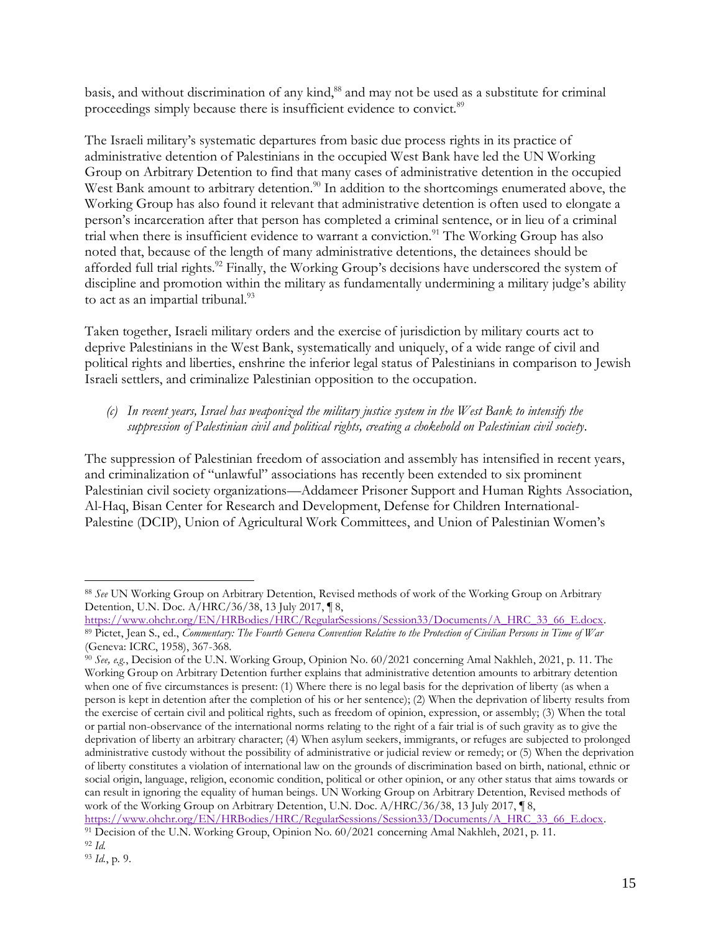basis, and without discrimination of any kind,<sup>88</sup> and may not be used as a substitute for criminal proceedings simply because there is insufficient evidence to convict.<sup>89</sup>

The Israeli military's systematic departures from basic due process rights in its practice of administrative detention of Palestinians in the occupied West Bank have led the UN Working Group on Arbitrary Detention to find that many cases of administrative detention in the occupied West Bank amount to arbitrary detention.<sup>90</sup> In addition to the shortcomings enumerated above, the Working Group has also found it relevant that administrative detention is often used to elongate a person's incarceration after that person has completed a criminal sentence, or in lieu of a criminal trial when there is insufficient evidence to warrant a conviction.<sup>91</sup> The Working Group has also noted that, because of the length of many administrative detentions, the detainees should be afforded full trial rights.<sup>92</sup> Finally, the Working Group's decisions have underscored the system of discipline and promotion within the military as fundamentally undermining a military judge's ability to act as an impartial tribunal.<sup>93</sup>

Taken together, Israeli military orders and the exercise of jurisdiction by military courts act to deprive Palestinians in the West Bank, systematically and uniquely, of a wide range of civil and political rights and liberties, enshrine the inferior legal status of Palestinians in comparison to Jewish Israeli settlers, and criminalize Palestinian opposition to the occupation.

### *(c) In recent years, Israel has weaponized the military justice system in the West Bank to intensify the suppression of Palestinian civil and political rights, creating a chokehold on Palestinian civil society.*

The suppression of Palestinian freedom of association and assembly has intensified in recent years, and criminalization of "unlawful" associations has recently been extended to six prominent Palestinian civil society organizations—Addameer Prisoner Support and Human Rights Association, Al-Haq, Bisan Center for Research and Development, Defense for Children International-Palestine (DCIP), Union of Agricultural Work Committees, and Union of Palestinian Women's

<sup>88</sup> *See* UN Working Group on Arbitrary Detention, Revised methods of work of the Working Group on Arbitrary Detention, U.N. Doc. A/HRC/36/38, 13 July 2017, ¶ 8,

[https://www.ohchr.org/EN/HRBodies/HRC/RegularSessions/Session33/Documents/A\\_HRC\\_33\\_66\\_E.docx.](https://www.ohchr.org/EN/HRBodies/HRC/RegularSessions/Session33/Documents/A_HRC_33_66_E.docx) <sup>89</sup> Pictet, Jean S., ed., *Commentary: The Fourth Geneva Convention Relative to the Protection of Civilian Persons in Time of War* 

<sup>(</sup>Geneva: ICRC, 1958), 367-368.

<sup>90</sup> *See, e.g.*, Decision of the U.N. Working Group, Opinion No. 60/2021 concerning Amal Nakhleh, 2021, p. 11. The Working Group on Arbitrary Detention further explains that administrative detention amounts to arbitrary detention when one of five circumstances is present: (1) Where there is no legal basis for the deprivation of liberty (as when a person is kept in detention after the completion of his or her sentence); (2) When the deprivation of liberty results from the exercise of certain civil and political rights, such as freedom of opinion, expression, or assembly; (3) When the total or partial non-observance of the international norms relating to the right of a fair trial is of such gravity as to give the deprivation of liberty an arbitrary character; (4) When asylum seekers, immigrants, or refuges are subjected to prolonged administrative custody without the possibility of administrative or judicial review or remedy; or (5) When the deprivation of liberty constitutes a violation of international law on the grounds of discrimination based on birth, national, ethnic or social origin, language, religion, economic condition, political or other opinion, or any other status that aims towards or can result in ignoring the equality of human beings. UN Working Group on Arbitrary Detention, Revised methods of work of the Working Group on Arbitrary Detention, U.N. Doc. A/HRC/36/38, 13 July 2017, ¶ 8,

[https://www.ohchr.org/EN/HRBodies/HRC/RegularSessions/Session33/Documents/A\\_HRC\\_33\\_66\\_E.docx.](https://www.ohchr.org/EN/HRBodies/HRC/RegularSessions/Session33/Documents/A_HRC_33_66_E.docx) <sup>91</sup> Decision of the U.N. Working Group, Opinion No. 60/2021 concerning Amal Nakhleh, 2021, p. 11.

<sup>92</sup> *Id.*

<sup>93</sup> *Id.*, p. 9.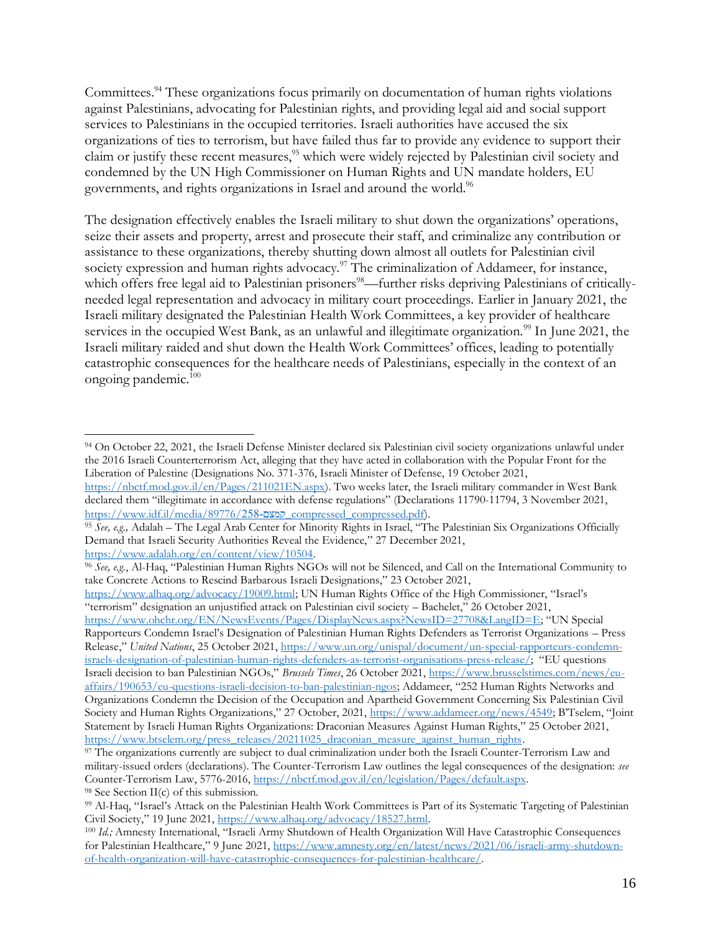Committees. <sup>94</sup> These organizations focus primarily on documentation of human rights violations against Palestinians, advocating for Palestinian rights, and providing legal aid and social support services to Palestinians in the occupied territories. Israeli authorities have accused the six organizations of ties to terrorism, but have failed thus far to provide any evidence to support their claim or justify these recent measures,<sup>95</sup> which were widely rejected by Palestinian civil society and condemned by the UN High Commissioner on Human Rights and UN mandate holders, EU governments, and rights organizations in Israel and around the world.<sup>96</sup>

The designation effectively enables the Israeli military to shut down the organizations' operations, seize their assets and property, arrest and prosecute their staff, and criminalize any contribution or assistance to these organizations, thereby shutting down almost all outlets for Palestinian civil society expression and human rights advocacy.<sup>97</sup> The criminalization of Addameer, for instance, which offers free legal aid to Palestinian prisoners<sup>98</sup>—further risks depriving Palestinians of criticallyneeded legal representation and advocacy in military court proceedings. Earlier in January 2021, the Israeli military designated the Palestinian Health Work Committees, a key provider of healthcare services in the occupied West Bank, as an unlawful and illegitimate organization.<sup>99</sup> In June 2021, the Israeli military raided and shut down the Health Work Committees' offices, leading to potentially catastrophic consequences for the healthcare needs of Palestinians, especially in the context of an ongoing pandemic.<sup>100</sup>

[https://www.alhaq.org/advocacy/19009.html;](https://www.alhaq.org/advocacy/19009.html) UN Human Rights Office of the High Commissioner, "Israel's "terrorism" designation an unjustified attack on Palestinian civil society – Bachelet," 26 October 2021,

<https://www.ohchr.org/EN/NewsEvents/Pages/DisplayNews.aspx?NewsID=27708&LangID=E>; "UN Special Rapporteurs Condemn Israel's Designation of Palestinian Human Rights Defenders as Terrorist Organizations – Press Release," *United Nations*, 25 October 2021, [https://www.un.org/unispal/document/un-special-rapporteurs-condemn](https://www.un.org/unispal/document/un-special-rapporteurs-condemn-israels-designation-of-palestinian-human-rights-defenders-as-terrorist-organisations-press-release/)[israels-designation-of-palestinian-human-rights-defenders-as-terrorist-organisations-press-release/](https://www.un.org/unispal/document/un-special-rapporteurs-condemn-israels-designation-of-palestinian-human-rights-defenders-as-terrorist-organisations-press-release/); "EU questions Israeli decision to ban Palestinian NGOs," *Brussels Times*, 26 October 2021, [https://www.brusselstimes.com/news/eu](https://www.brusselstimes.com/news/eu-affairs/190653/eu-questions-israeli-decision-to-ban-palestinian-ngos)[affairs/190653/eu-questions-israeli-decision-to-ban-palestinian-ngos;](https://www.brusselstimes.com/news/eu-affairs/190653/eu-questions-israeli-decision-to-ban-palestinian-ngos) Addameer, "252 Human Rights Networks and Organizations Condemn the Decision of the Occupation and Apartheid Government Concerning Six Palestinian Civil Society and Human Rights Organizations," 27 October, 2021, [https://www.addameer.org/news/4549;](https://www.addameer.org/news/4549) B'Tselem, "Joint Statement by Israeli Human Rights Organizations: Draconian Measures Against Human Rights," 25 October 2021, [https://www.btselem.org/press\\_releases/20211025\\_draconian\\_measure\\_against\\_human\\_rights.](https://www.btselem.org/press_releases/20211025_draconian_measure_against_human_rights)

<sup>94</sup> On October 22, 2021, the Israeli Defense Minister declared six Palestinian civil society organizations unlawful under the 2016 Israeli Counterterrorism Act, alleging that they have acted in collaboration with the Popular Front for the Liberation of Palestine (Designations No. 371-376, Israeli Minister of Defense, 19 October 2021,

[https://nbctf.mod.gov.il/en/Pages/211021EN.aspx\)](https://nbctf.mod.gov.il/en/Pages/211021EN.aspx). Two weeks later, the Israeli military commander in West Bank declared them "illegitimate in accordance with defense regulations" (Declarations 11790-11794, 3 November 2021, [https://www.idf.il/media/89776/](https://www.idf.il/media/89776/קמצם-258_compressed_compressed.pdf)258-קמצם\_compressed\_compressed.pdf).

<sup>95</sup> *See, e.g.,* Adalah – The Legal Arab Center for Minority Rights in Israel, "The Palestinian Six Organizations Officially Demand that Israeli Security Authorities Reveal the Evidence," 27 December 2021, [https://www.adalah.org/en/content/view/10504.](https://www.adalah.org/en/content/view/10504)

<sup>96</sup> *See, e.g.*, Al-Haq, "Palestinian Human Rights NGOs will not be Silenced, and Call on the International Community to take Concrete Actions to Rescind Barbarous Israeli Designations," 23 October 2021,

<sup>97</sup> The organizations currently are subject to dual criminalization under both the Israeli Counter-Terrorism Law and military-issued orders (declarations). The Counter-Terrorism Law outlines the legal consequences of the designation: *see*  Counter-Terrorism Law, 5776-2016, [https://nbctf.mod.gov.il/en/legislation/Pages/default.aspx.](https://nbctf.mod.gov.il/en/legislation/Pages/default.aspx)  $98$  See Section II(c) of this submission.

<sup>99</sup> Al-Haq, "Israel's Attack on the Palestinian Health Work Committees is Part of its Systematic Targeting of Palestinian Civil Society," 19 June 2021[, https://www.alhaq.org/advocacy/18527.html.](https://www.alhaq.org/advocacy/18527.html)

<sup>100</sup> *Id.;* Amnesty International, "Israeli Army Shutdown of Health Organization Will Have Catastrophic Consequences for Palestinian Healthcare," 9 June 2021, [https://www.amnesty.org/en/latest/news/2021/06/israeli-army-shutdown](https://www.amnesty.org/en/latest/news/2021/06/israeli-army-shutdown-of-health-organization-will-have-catastrophic-consequences-for-palestinian-healthcare/)[of-health-organization-will-have-catastrophic-consequences-for-palestinian-healthcare/.](https://www.amnesty.org/en/latest/news/2021/06/israeli-army-shutdown-of-health-organization-will-have-catastrophic-consequences-for-palestinian-healthcare/)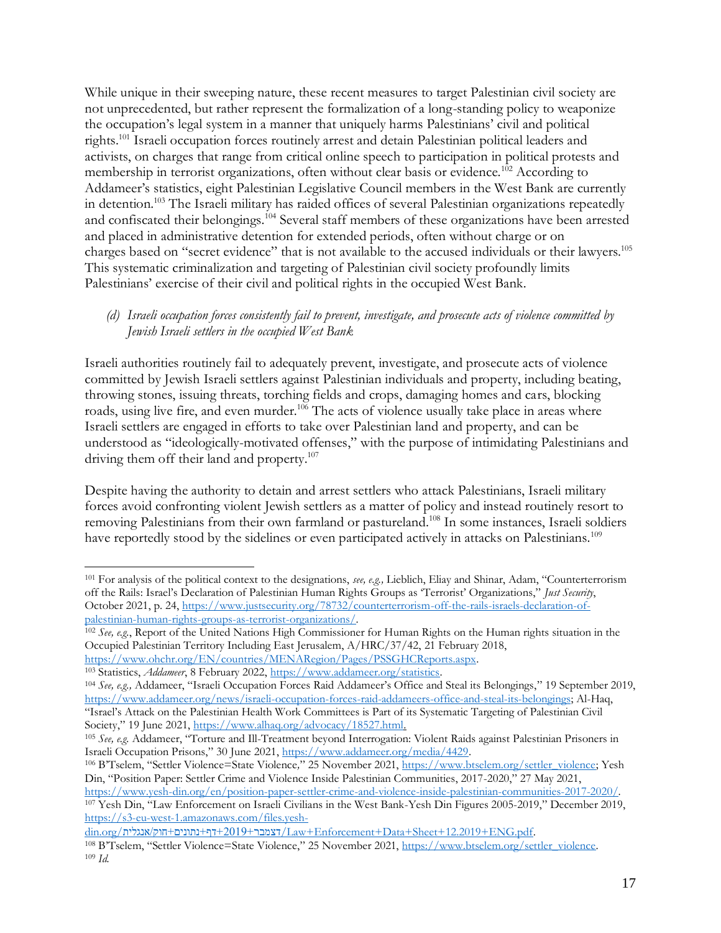While unique in their sweeping nature, these recent measures to target Palestinian civil society are not unprecedented, but rather represent the formalization of a long-standing policy to weaponize the occupation's legal system in a manner that uniquely harms Palestinians' civil and political rights.<sup>101</sup> Israeli occupation forces routinely arrest and detain Palestinian political leaders and activists, on charges that range from critical online speech to participation in political protests and membership in terrorist organizations, often without clear basis or evidence.<sup>102</sup> According to Addameer's statistics, eight Palestinian Legislative Council members in the West Bank are currently in detention.<sup>103</sup> The Israeli military has raided offices of several Palestinian organizations repeatedly and confiscated their belongings.<sup>104</sup> Several staff members of these organizations have been arrested and placed in administrative detention for extended periods, often without charge or on charges based on "secret evidence" that is not available to the accused individuals or their lawyers.<sup>105</sup> This systematic criminalization and targeting of Palestinian civil society profoundly limits Palestinians' exercise of their civil and political rights in the occupied West Bank.

### *(d) Israeli occupation forces consistently fail to prevent, investigate, and prosecute acts of violence committed by Jewish Israeli settlers in the occupied West Bank*

Israeli authorities routinely fail to adequately prevent, investigate, and prosecute acts of violence committed by Jewish Israeli settlers against Palestinian individuals and property, including beating, throwing stones, issuing threats, torching fields and crops, damaging homes and cars, blocking roads, using live fire, and even murder.<sup>106</sup> The acts of violence usually take place in areas where Israeli settlers are engaged in efforts to take over Palestinian land and property, and can be understood as "ideologically-motivated offenses," with the purpose of intimidating Palestinians and driving them off their land and property.<sup>107</sup>

Despite having the authority to detain and arrest settlers who attack Palestinians, Israeli military forces avoid confronting violent Jewish settlers as a matter of policy and instead routinely resort to removing Palestinians from their own farmland or pastureland.<sup>108</sup> In some instances, Israeli soldiers have reportedly stood by the sidelines or even participated actively in attacks on Palestinians.<sup>109</sup>

din.org/אנגלית/חוק+נתונים+דף+2019+דצמבר[/Law+Enforcement+Data+Sheet+12.2019+ENG.pdf.](https://s3-eu-west-1.amazonaws.com/files.yesh-din.org/דצמבר+2019+דף+נתונים+חוק/אנגלית/Law+Enforcement+Data+Sheet+12.2019+ENG.pdf)

<sup>101</sup> For analysis of the political context to the designations, *see, e.g.,* Lieblich, Eliay and Shinar, Adam, "Counterterrorism off the Rails: Israel's Declaration of Palestinian Human Rights Groups as 'Terrorist' Organizations," *Just Security*, October 2021, p. 24, [https://www.justsecurity.org/78732/counterterrorism-off-the-rails-israels-declaration-of](https://www.justsecurity.org/78732/counterterrorism-off-the-rails-israels-declaration-of-palestinian-human-rights-groups-as-terrorist-organizations/)[palestinian-human-rights-groups-as-terrorist-organizations/.](https://www.justsecurity.org/78732/counterterrorism-off-the-rails-israels-declaration-of-palestinian-human-rights-groups-as-terrorist-organizations/) 

<sup>102</sup> *See, e.g.*, Report of the United Nations High Commissioner for Human Rights on the Human rights situation in the Occupied Palestinian Territory Including East Jerusalem, A/HRC/37/42, 21 February 2018, [https://www.ohchr.org/EN/countries/MENARegion/Pages/PSSGHCReports.aspx.](https://www.ohchr.org/EN/countries/MENARegion/Pages/PSSGHCReports.aspx)

<sup>103</sup> Statistics, *Addameer*, 8 February 2022, [https://www.addameer.org/statistics.](https://www.addameer.org/statistics)

<sup>104</sup> *See, e.g.,* Addameer, "Israeli Occupation Forces Raid Addameer's Office and Steal its Belongings," 19 September 2019, [https://www.addameer.org/news/israeli-occupation-forces-raid-addameers-office-and-steal-its-belongings;](https://www.addameer.org/news/israeli-occupation-forces-raid-addameers-office-and-steal-its-belongings) Al-Haq, "Israel's Attack on the Palestinian Health Work Committees is Part of its Systematic Targeting of Palestinian Civil Society," 19 June 2021, [https://www.alhaq.org/advocacy/18527.html.](https://www.alhaq.org/advocacy/18527.html)

<sup>105</sup> *See, e.g.* Addameer, "Torture and Ill-Treatment beyond Interrogation: Violent Raids against Palestinian Prisoners in Israeli Occupation Prisons," 30 June 2021[, https://www.addameer.org/media/4429.](https://www.addameer.org/media/4429)

<sup>106</sup> B'Tselem, "Settler Violence=State Violence*,*" 25 November 2021, [https://www.btselem.org/settler\\_violence;](https://www.btselem.org/settler_violence) Yesh Din, "Position Paper: Settler Crime and Violence Inside Palestinian Communities, 2017-2020," 27 May 2021,

[https://www.yesh-din.org/en/position-paper-settler-crime-and-violence-inside-palestinian-communities-2017-2020/.](https://www.yesh-din.org/en/position-paper-settler-crime-and-violence-inside-palestinian-communities-2017-2020/) <sup>107</sup> Yesh Din, "Law Enforcement on Israeli Civilians in the West Bank-Yesh Din Figures 2005-2019," December 2019, [https://s3-eu-west-1.amazonaws.com/files.yesh-](https://s3-eu-west-1.amazonaws.com/files.yesh-din.org/דצמבר+2019+דף+נתונים+חוק/אנגלית/Law+Enforcement+Data+Sheet+12.2019+ENG.pdf)

<sup>108</sup> B'Tselem, "Settler Violence=State Violence," 25 November 2021, [https://www.btselem.org/settler\\_violence.](https://www.btselem.org/settler_violence) <sup>109</sup> *Id.*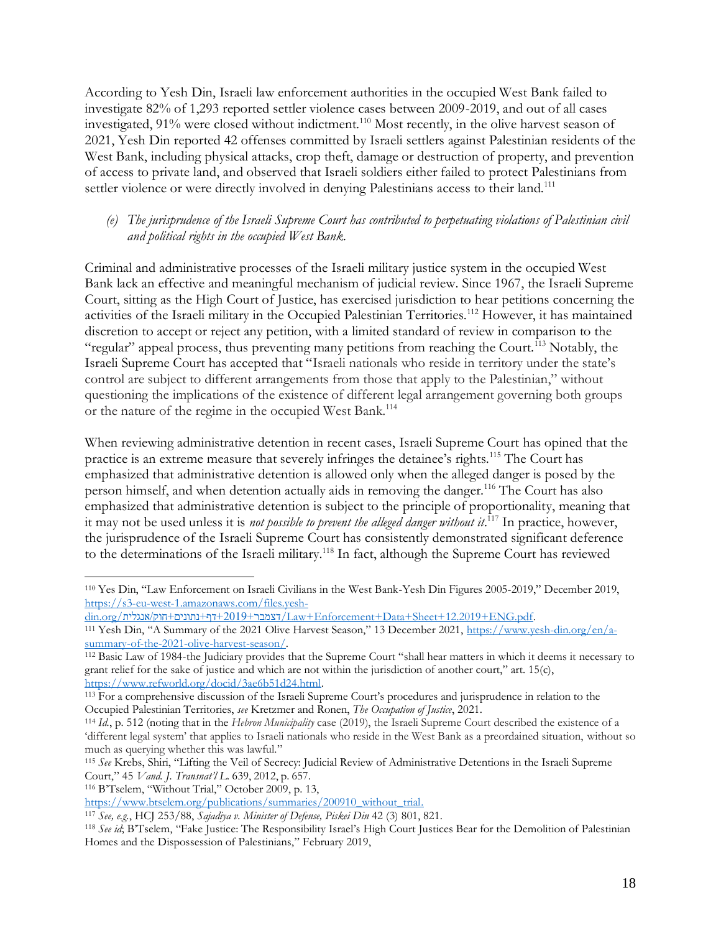According to Yesh Din, Israeli law enforcement authorities in the occupied West Bank failed to investigate 82% of 1,293 reported settler violence cases between 2009-2019, and out of all cases investigated, 91% were closed without indictment.<sup>110</sup> Most recently, in the olive harvest season of 2021, Yesh Din reported 42 offenses committed by Israeli settlers against Palestinian residents of the West Bank, including physical attacks, crop theft, damage or destruction of property, and prevention of access to private land, and observed that Israeli soldiers either failed to protect Palestinians from settler violence or were directly involved in denying Palestinians access to their land.<sup>111</sup>

### *(e) The jurisprudence of the Israeli Supreme Court has contributed to perpetuating violations of Palestinian civil and political rights in the occupied West Bank.*

Criminal and administrative processes of the Israeli military justice system in the occupied West Bank lack an effective and meaningful mechanism of judicial review. Since 1967, the Israeli Supreme Court, sitting as the High Court of Justice, has exercised jurisdiction to hear petitions concerning the activities of the Israeli military in the Occupied Palestinian Territories.<sup>112</sup> However, it has maintained discretion to accept or reject any petition, with a limited standard of review in comparison to the "regular" appeal process, thus preventing many petitions from reaching the Court.<sup>113</sup> Notably, the Israeli Supreme Court has accepted that "Israeli nationals who reside in territory under the state's control are subject to different arrangements from those that apply to the Palestinian," without questioning the implications of the existence of different legal arrangement governing both groups or the nature of the regime in the occupied West Bank.<sup>114</sup>

When reviewing administrative detention in recent cases, Israeli Supreme Court has opined that the practice is an extreme measure that severely infringes the detainee's rights.<sup>115</sup> The Court has emphasized that administrative detention is allowed only when the alleged danger is posed by the person himself, and when detention actually aids in removing the danger.<sup>116</sup> The Court has also emphasized that administrative detention is subject to the principle of proportionality, meaning that it may not be used unless it is *not possible to prevent the alleged danger without it*. <sup>117</sup> In practice, however, the jurisprudence of the Israeli Supreme Court has consistently demonstrated significant deference to the determinations of the Israeli military.<sup>118</sup> In fact, although the Supreme Court has reviewed

[https://www.btselem.org/publications/summaries/200910\\_without\\_trial.](https://www.btselem.org/publications/summaries/200910_without_trial)

<sup>110</sup> Yes Din, "Law Enforcement on Israeli Civilians in the West Bank-Yesh Din Figures 2005-2019," December 2019, [https://s3-eu-west-1.amazonaws.com/files.yesh-](https://s3-eu-west-1.amazonaws.com/files.yesh-din.org/דצמבר+2019+דף+נתונים+חוק/אנגלית/Law+Enforcement+Data+Sheet+12.2019+ENG.pdf)

din.org/אנגלית/חוק+נתונים+דף+2019+דצמבר[/Law+Enforcement+Data+Sheet+12.2019+ENG.pdf.](https://s3-eu-west-1.amazonaws.com/files.yesh-din.org/דצמבר+2019+דף+נתונים+חוק/אנגלית/Law+Enforcement+Data+Sheet+12.2019+ENG.pdf)

<sup>111</sup> Yesh Din, "A Summary of the 2021 Olive Harvest Season," 13 December 2021, [https://www.yesh-din.org/en/a](https://www.yesh-din.org/en/a-summary-of-the-2021-olive-harvest-season/)[summary-of-the-2021-olive-harvest-season/.](https://www.yesh-din.org/en/a-summary-of-the-2021-olive-harvest-season/)

<sup>112</sup> Basic Law of 1984-the Judiciary provides that the Supreme Court "shall hear matters in which it deems it necessary to grant relief for the sake of justice and which are not within the jurisdiction of another court," art. 15(c), [https://www.refworld.org/docid/3ae6b51d24.html.](https://www.refworld.org/docid/3ae6b51d24.html)

<sup>113</sup> For a comprehensive discussion of the Israeli Supreme Court's procedures and jurisprudence in relation to the Occupied Palestinian Territories, *see* Kretzmer and Ronen, *The Occupation of Justice*, 2021.

<sup>114</sup> *Id.*, p. 512 (noting that in the *Hebron Municipality* case (2019), the Israeli Supreme Court described the existence of a 'different legal system' that applies to Israeli nationals who reside in the West Bank as a preordained situation, without so much as querying whether this was lawful."

<sup>115</sup> *See* Krebs, Shiri, "Lifting the Veil of Secrecy: Judicial Review of Administrative Detentions in the Israeli Supreme Court," 45 *Vand. J. Transnat'l L*. 639, 2012, p. 657.

<sup>116</sup> B'Tselem, "Without Trial," October 2009, p. 13,

<sup>117</sup> *See, e.g.*, HCJ 253/88, *Sajadiya v. Minister of Defense, Piskei Din* 42 (3) 801, 821.

<sup>118</sup> *See id*; B'Tselem, "Fake Justice: The Responsibility Israel's High Court Justices Bear for the Demolition of Palestinian Homes and the Dispossession of Palestinians," February 2019,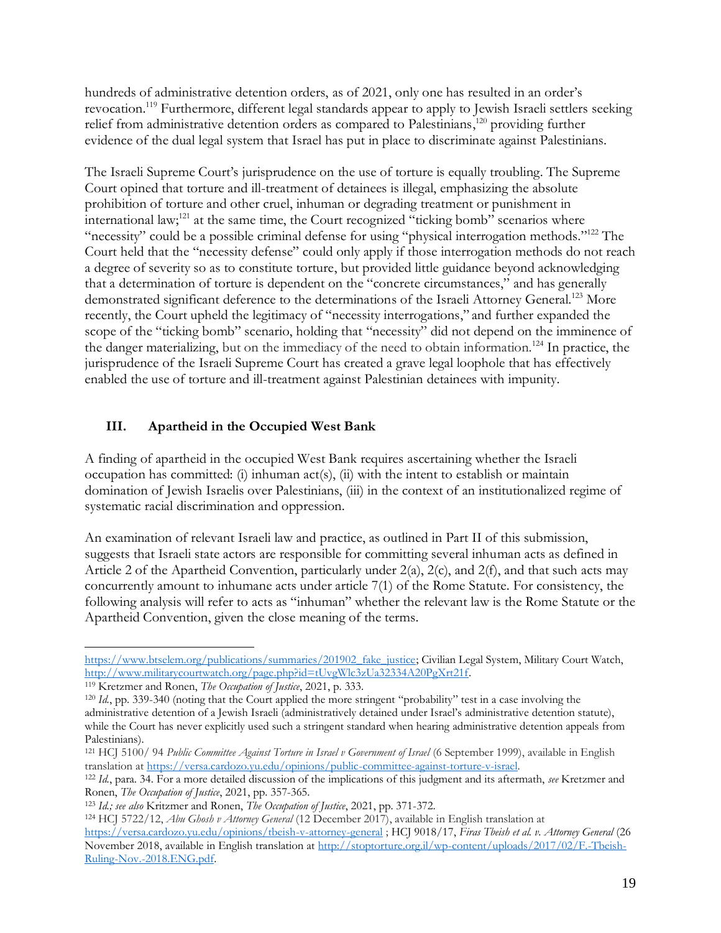hundreds of administrative detention orders, as of 2021, only one has resulted in an order's revocation.<sup>119</sup> Furthermore, different legal standards appear to apply to Jewish Israeli settlers seeking relief from administrative detention orders as compared to Palestinians,<sup>120</sup> providing further evidence of the dual legal system that Israel has put in place to discriminate against Palestinians.

The Israeli Supreme Court's jurisprudence on the use of torture is equally troubling. The Supreme Court opined that torture and ill-treatment of detainees is illegal, emphasizing the absolute prohibition of torture and other cruel, inhuman or degrading treatment or punishment in international law;<sup>121</sup> at the same time, the Court recognized "ticking bomb" scenarios where "necessity" could be a possible criminal defense for using "physical interrogation methods."<sup>122</sup> The Court held that the "necessity defense" could only apply if those interrogation methods do not reach a degree of severity so as to constitute torture, but provided little guidance beyond acknowledging that a determination of torture is dependent on the "concrete circumstances," and has generally demonstrated significant deference to the determinations of the Israeli Attorney General.<sup>123</sup> More recently, the Court upheld the legitimacy of "necessity interrogations," and further expanded the scope of the "ticking bomb" scenario, holding that "necessity" did not depend on the imminence of the danger materializing, but on the immediacy of the need to obtain information.<sup>124</sup> In practice, the jurisprudence of the Israeli Supreme Court has created a grave legal loophole that has effectively enabled the use of torture and ill-treatment against Palestinian detainees with impunity.

## **III. Apartheid in the Occupied West Bank**

A finding of apartheid in the occupied West Bank requires ascertaining whether the Israeli occupation has committed: (i) inhuman  $act(s)$ , (ii) with the intent to establish or maintain domination of Jewish Israelis over Palestinians, (iii) in the context of an institutionalized regime of systematic racial discrimination and oppression.

An examination of relevant Israeli law and practice, as outlined in Part II of this submission, suggests that Israeli state actors are responsible for committing several inhuman acts as defined in Article 2 of the Apartheid Convention, particularly under 2(a), 2(c), and 2(f), and that such acts may concurrently amount to inhumane acts under article 7(1) of the Rome Statute. For consistency, the following analysis will refer to acts as "inhuman" whether the relevant law is the Rome Statute or the Apartheid Convention, given the close meaning of the terms.

[https://www.btselem.org/publications/summaries/201902\\_fake\\_justice;](https://www.btselem.org/publications/summaries/201902_fake_justice) Civilian Legal System, Military Court Watch, [http://www.militarycourtwatch.org/page.php?id=tUvgWlc3zUa32334A20PgXrt21f.](http://www.militarycourtwatch.org/page.php?id=tUvgWlc3zUa32334A20PgXrt21f)

<sup>119</sup> Kretzmer and Ronen, *The Occupation of Justice*, 2021, p. 333.

<sup>120</sup> *Id.*, pp. 339-340 (noting that the Court applied the more stringent "probability" test in a case involving the administrative detention of a Jewish Israeli (administratively detained under Israel's administrative detention statute), while the Court has never explicitly used such a stringent standard when hearing administrative detention appeals from Palestinians).

<sup>121</sup> HCJ 5100/ 94 *Public Committee Against Torture in Israel v Government of Israel* (6 September 1999), available in English translation at [https://versa.cardozo.yu.edu/opinions/public-committee-against-torture-v-israel.](https://versa.cardozo.yu.edu/opinions/public-committee-against-torture-v-israel) 

<sup>122</sup> *Id.*, para. 34. For a more detailed discussion of the implications of this judgment and its aftermath, *see* Kretzmer and Ronen, *The Occupation of Justice*, 2021, pp. 357-365.

<sup>123</sup> *Id.; see also* Kritzmer and Ronen, *The Occupation of Justice*, 2021, pp. 371-372.

<sup>124</sup> HCJ 5722/12, *Abu Ghosh v Attorney General* (12 December 2017), available in English translation at <https://versa.cardozo.yu.edu/opinions/tbeish-v-attorney-general> ; HCJ 9018/17, *Firas Tbeish et al. v. Attorney General* (26 November 2018, available in English translation at [http://stoptorture.org.il/wp-content/uploads/2017/02/F.-Tbeish-](http://stoptorture.org.il/wp-content/uploads/2017/02/F.-Tbeish-Ruling-Nov.-2018.ENG.pdf)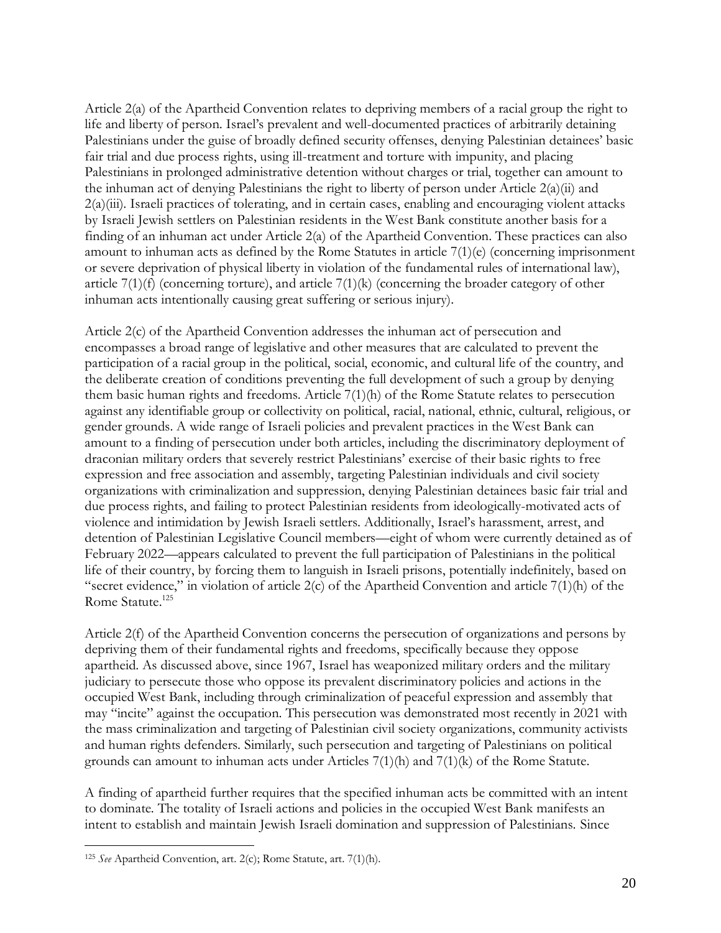Article 2(a) of the Apartheid Convention relates to depriving members of a racial group the right to life and liberty of person. Israel's prevalent and well-documented practices of arbitrarily detaining Palestinians under the guise of broadly defined security offenses, denying Palestinian detainees' basic fair trial and due process rights, using ill-treatment and torture with impunity, and placing Palestinians in prolonged administrative detention without charges or trial, together can amount to the inhuman act of denying Palestinians the right to liberty of person under Article 2(a)(ii) and 2(a)(iii). Israeli practices of tolerating, and in certain cases, enabling and encouraging violent attacks by Israeli Jewish settlers on Palestinian residents in the West Bank constitute another basis for a finding of an inhuman act under Article 2(a) of the Apartheid Convention. These practices can also amount to inhuman acts as defined by the Rome Statutes in article 7(1)(e) (concerning imprisonment or severe deprivation of physical liberty in violation of the fundamental rules of international law), article  $7(1)(f)$  (concerning torture), and article  $7(1)(k)$  (concerning the broader category of other inhuman acts intentionally causing great suffering or serious injury).

Article 2(c) of the Apartheid Convention addresses the inhuman act of persecution and encompasses a broad range of legislative and other measures that are calculated to prevent the participation of a racial group in the political, social, economic, and cultural life of the country, and the deliberate creation of conditions preventing the full development of such a group by denying them basic human rights and freedoms. Article 7(1)(h) of the Rome Statute relates to persecution against any identifiable group or collectivity on political, racial, national, ethnic, cultural, religious, or gender grounds. A wide range of Israeli policies and prevalent practices in the West Bank can amount to a finding of persecution under both articles, including the discriminatory deployment of draconian military orders that severely restrict Palestinians' exercise of their basic rights to free expression and free association and assembly, targeting Palestinian individuals and civil society organizations with criminalization and suppression, denying Palestinian detainees basic fair trial and due process rights, and failing to protect Palestinian residents from ideologically-motivated acts of violence and intimidation by Jewish Israeli settlers. Additionally, Israel's harassment, arrest, and detention of Palestinian Legislative Council members—eight of whom were currently detained as of February 2022—appears calculated to prevent the full participation of Palestinians in the political life of their country, by forcing them to languish in Israeli prisons, potentially indefinitely, based on "secret evidence," in violation of article 2(c) of the Apartheid Convention and article 7(1)(h) of the Rome Statute. 125

Article 2(f) of the Apartheid Convention concerns the persecution of organizations and persons by depriving them of their fundamental rights and freedoms, specifically because they oppose apartheid. As discussed above, since 1967, Israel has weaponized military orders and the military judiciary to persecute those who oppose its prevalent discriminatory policies and actions in the occupied West Bank, including through criminalization of peaceful expression and assembly that may "incite" against the occupation. This persecution was demonstrated most recently in 2021 with the mass criminalization and targeting of Palestinian civil society organizations, community activists and human rights defenders. Similarly, such persecution and targeting of Palestinians on political grounds can amount to inhuman acts under Articles 7(1)(h) and 7(1)(k) of the Rome Statute.

A finding of apartheid further requires that the specified inhuman acts be committed with an intent to dominate. The totality of Israeli actions and policies in the occupied West Bank manifests an intent to establish and maintain Jewish Israeli domination and suppression of Palestinians. Since

<sup>125</sup> *See* Apartheid Convention, art. 2(c); Rome Statute, art. 7(1)(h).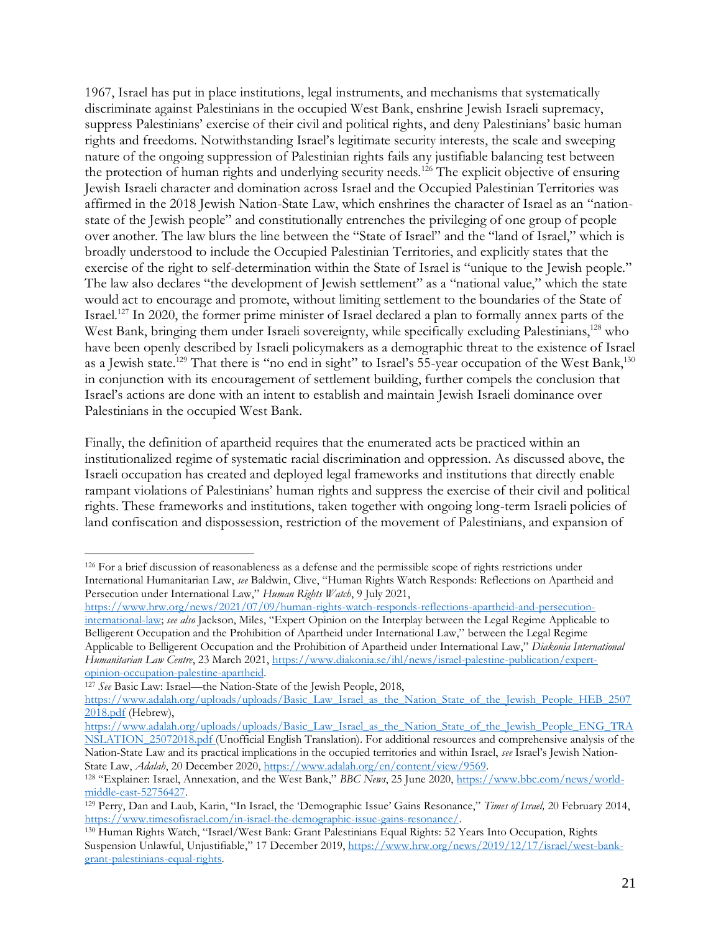1967, Israel has put in place institutions, legal instruments, and mechanisms that systematically discriminate against Palestinians in the occupied West Bank, enshrine Jewish Israeli supremacy, suppress Palestinians' exercise of their civil and political rights, and deny Palestinians' basic human rights and freedoms. Notwithstanding Israel's legitimate security interests, the scale and sweeping nature of the ongoing suppression of Palestinian rights fails any justifiable balancing test between the protection of human rights and underlying security needs.<sup>126</sup> The explicit objective of ensuring Jewish Israeli character and domination across Israel and the Occupied Palestinian Territories was affirmed in the 2018 Jewish Nation-State Law, which enshrines the character of Israel as an "nationstate of the Jewish people" and constitutionally entrenches the privileging of one group of people over another. The law blurs the line between the "State of Israel" and the "land of Israel," which is broadly understood to include the Occupied Palestinian Territories, and explicitly states that the exercise of the right to self-determination within the State of Israel is "unique to the Jewish people." The law also declares "the development of Jewish settlement" as a "national value," which the state would act to encourage and promote, without limiting settlement to the boundaries of the State of Israel.<sup>127</sup> In 2020, the former prime minister of Israel declared a plan to formally annex parts of the West Bank, bringing them under Israeli sovereignty, while specifically excluding Palestinians,<sup>128</sup> who have been openly described by Israeli policymakers as a demographic threat to the existence of Israel as a Jewish state.<sup>129</sup> That there is "no end in sight" to Israel's 55-year occupation of the West Bank,<sup>130</sup> in conjunction with its encouragement of settlement building, further compels the conclusion that Israel's actions are done with an intent to establish and maintain Jewish Israeli dominance over Palestinians in the occupied West Bank.

Finally, the definition of apartheid requires that the enumerated acts be practiced within an institutionalized regime of systematic racial discrimination and oppression. As discussed above, the Israeli occupation has created and deployed legal frameworks and institutions that directly enable rampant violations of Palestinians' human rights and suppress the exercise of their civil and political rights. These frameworks and institutions, taken together with ongoing long-term Israeli policies of land confiscation and dispossession, restriction of the movement of Palestinians, and expansion of

[https://www.hrw.org/news/2021/07/09/human-rights-watch-responds-reflections-apartheid-and-persecution](https://www.hrw.org/news/2021/07/09/human-rights-watch-responds-reflections-apartheid-and-persecution-international-law)[international-law;](https://www.hrw.org/news/2021/07/09/human-rights-watch-responds-reflections-apartheid-and-persecution-international-law) *see also* Jackson, Miles, "Expert Opinion on the Interplay between the Legal Regime Applicable to Belligerent Occupation and the Prohibition of Apartheid under International Law," between the Legal Regime Applicable to Belligerent Occupation and the Prohibition of Apartheid under International Law," *Diakonia International Humanitarian Law Centre*, 23 March 2021, [https://www.diakonia.se/ihl/news/israel-palestine-publication/expert-](https://www.diakonia.se/ihl/news/israel-palestine-publication/expert-opinion-occupation-palestine-apartheid)

[opinion-occupation-palestine-apartheid.](https://www.diakonia.se/ihl/news/israel-palestine-publication/expert-opinion-occupation-palestine-apartheid)

<sup>127</sup> See Basic Law: Israel—the Nation-State of the Jewish People, 2018,

[https://www.adalah.org/uploads/uploads/Basic\\_Law\\_Israel\\_as\\_the\\_Nation\\_State\\_of\\_the\\_Jewish\\_People\\_ENG\\_TRA](https://www.adalah.org/uploads/uploads/Basic_Law_Israel_as_the_Nation_State_of_the_Jewish_People_ENG_TRANSLATION_25072018.pdf) [NSLATION\\_25072018.pdf](https://www.adalah.org/uploads/uploads/Basic_Law_Israel_as_the_Nation_State_of_the_Jewish_People_ENG_TRANSLATION_25072018.pdf) (Unofficial English Translation). For additional resources and comprehensive analysis of the Nation-State Law and its practical implications in the occupied territories and within Israel, *see* Israel's Jewish Nation-State Law, *Adalah*, 20 December 2020[, https://www.adalah.org/en/content/view/9569.](https://www.adalah.org/en/content/view/9569)

<sup>126</sup> For a brief discussion of reasonableness as a defense and the permissible scope of rights restrictions under International Humanitarian Law, *see* Baldwin, Clive, "Human Rights Watch Responds: Reflections on Apartheid and Persecution under International Law," *Human Rights Watch*, 9 July 2021,

[https://www.adalah.org/uploads/uploads/Basic\\_Law\\_Israel\\_as\\_the\\_Nation\\_State\\_of\\_the\\_Jewish\\_People\\_HEB\\_2507](https://www.adalah.org/uploads/uploads/Basic_Law_Israel_as_the_Nation_State_of_the_Jewish_People_HEB_25072018.pdf) [2018.pdf](https://www.adalah.org/uploads/uploads/Basic_Law_Israel_as_the_Nation_State_of_the_Jewish_People_HEB_25072018.pdf) (Hebrew),

<sup>128</sup> "Explainer: Israel, Annexation, and the West Bank," *BBC News*, 25 June 2020[, https://www.bbc.com/news/world](https://www.bbc.com/news/world-middle-east-52756427)[middle-east-52756427.](https://www.bbc.com/news/world-middle-east-52756427)

<sup>129</sup> Perry, Dan and Laub, Karin, "In Israel, the 'Demographic Issue' Gains Resonance," *Times of Israel,* 20 February 2014, [https://www.timesofisrael.com/in-israel-the-demographic-issue-gains-resonance/.](https://www.timesofisrael.com/in-israel-the-demographic-issue-gains-resonance/)

<sup>130</sup> Human Rights Watch, "Israel/West Bank: Grant Palestinians Equal Rights: 52 Years Into Occupation, Rights Suspension Unlawful, Unjustifiable," 17 December 2019[, https://www.hrw.org/news/2019/12/17/israel/west-bank](https://www.hrw.org/news/2019/12/17/israel/west-bank-grant-palestinians-equal-rights)[grant-palestinians-equal-rights.](https://www.hrw.org/news/2019/12/17/israel/west-bank-grant-palestinians-equal-rights)